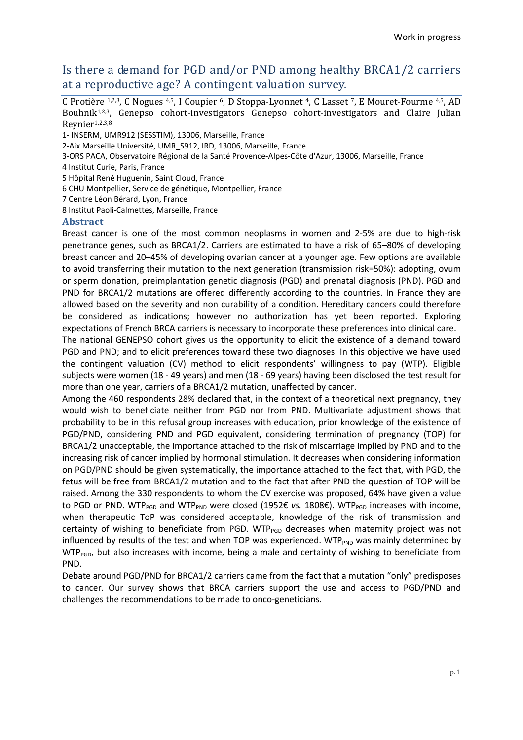# Is there a demand for PGD and/or PND among healthy BRCA1/2 carriers at a reproductive age? A contingent valuation survey.

C Protière 1,2,3, C Nogues 4,5, I Coupier 6, D Stoppa-Lyonnet 4, C Lasset 7, E Mouret-Fourme 4,5, AD Bouhnik<sup>1,2,3</sup>, Genepso cohort-investigators Genepso cohort-investigators and Claire Julian Reynier1,2,3,8

- 1- INSERM, UMR912 (SESSTIM), 13006, Marseille, France
- 2-Aix Marseille Université, UMR\_S912, IRD, 13006, Marseille, France
- 3-ORS PACA, Observatoire Régional de la Santé Provence-Alpes-Côte d'Azur, 13006, Marseille, France
- 4 Institut Curie, Paris, France
- 5 Hôpital René Huguenin, Saint Cloud, France
- 6 CHU Montpellier, Service de génétique, Montpellier, France
- 7 Centre Léon Bérard, Lyon, France
- 8 Institut Paoli-Calmettes, Marseille, France

#### **Abstract**

Breast cancer is one of the most common neoplasms in women and 2-5% are due to high-risk penetrance genes, such as BRCA1/2. Carriers are estimated to have a risk of 65–80% of developing breast cancer and 20–45% of developing ovarian cancer at a younger age. Few options are available to avoid transferring their mutation to the next generation (transmission risk=50%): adopting, ovum or sperm donation, preimplantation genetic diagnosis (PGD) and prenatal diagnosis (PND). PGD and PND for BRCA1/2 mutations are offered differently according to the countries. In France they are allowed based on the severity and non curability of a condition. Hereditary cancers could therefore be considered as indications; however no authorization has yet been reported. Exploring expectations of French BRCA carriers is necessary to incorporate these preferences into clinical care.

The national GENEPSO cohort gives us the opportunity to elicit the existence of a demand toward PGD and PND; and to elicit preferences toward these two diagnoses. In this objective we have used the contingent valuation (CV) method to elicit respondents' willingness to pay (WTP). Eligible subjects were women (18 - 49 years) and men (18 - 69 years) having been disclosed the test result for more than one year, carriers of a BRCA1/2 mutation, unaffected by cancer.

Among the 460 respondents 28% declared that, in the context of a theoretical next pregnancy, they would wish to beneficiate neither from PGD nor from PND. Multivariate adjustment shows that probability to be in this refusal group increases with education, prior knowledge of the existence of PGD/PND, considering PND and PGD equivalent, considering termination of pregnancy (TOP) for BRCA1/2 unacceptable, the importance attached to the risk of miscarriage implied by PND and to the increasing risk of cancer implied by hormonal stimulation. It decreases when considering information on PGD/PND should be given systematically, the importance attached to the fact that, with PGD, the fetus will be free from BRCA1/2 mutation and to the fact that after PND the question of TOP will be raised. Among the 330 respondents to whom the CV exercise was proposed, 64% have given a value to PGD or PND. WTP<sub>PGD</sub> and WTP<sub>PND</sub> were closed (1952€ *vs.* 1808€). WTP<sub>PGD</sub> increases with income, when therapeutic ToP was considered acceptable, knowledge of the risk of transmission and certainty of wishing to beneficiate from PGD. WTP $_{PGD}$  decreases when maternity project was not influenced by results of the test and when TOP was experienced.  $WTP_{PND}$  was mainly determined by  $WTP_{PGD}$ , but also increases with income, being a male and certainty of wishing to beneficiate from PND.

Debate around PGD/PND for BRCA1/2 carriers came from the fact that a mutation "only" predisposes to cancer. Our survey shows that BRCA carriers support the use and access to PGD/PND and challenges the recommendations to be made to onco-geneticians.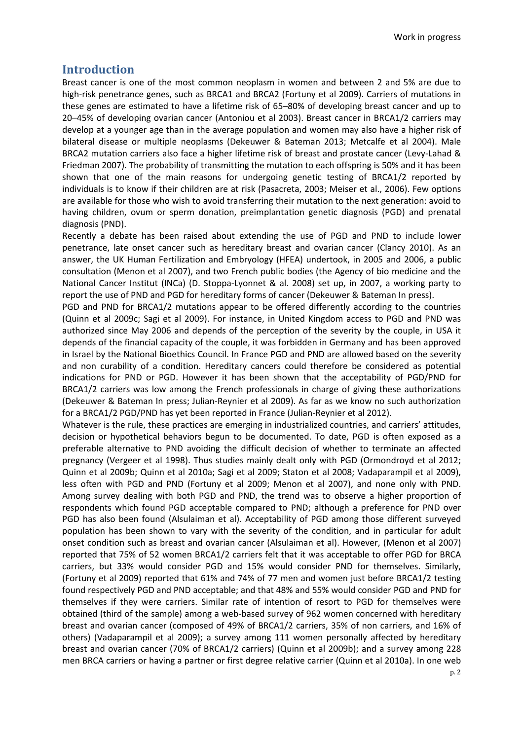# **Introduction**

Breast cancer is one of the most common neoplasm in women and between 2 and 5% are due to high-risk penetrance genes, such as BRCA1 and BRCA2 (Fortuny et al 2009). Carriers of mutations in these genes are estimated to have a lifetime risk of 65–80% of developing breast cancer and up to 20–45% of developing ovarian cancer (Antoniou et al 2003). Breast cancer in BRCA1/2 carriers may develop at a younger age than in the average population and women may also have a higher risk of bilateral disease or multiple neoplasms (Dekeuwer & Bateman 2013; Metcalfe et al 2004). Male BRCA2 mutation carriers also face a higher lifetime risk of breast and prostate cancer (Levy-Lahad & Friedman 2007). The probability of transmitting the mutation to each offspring is 50% and it has been shown that one of the main reasons for undergoing genetic testing of BRCA1/2 reported by individuals is to know if their children are at risk (Pasacreta, 2003; Meiser et al., 2006). Few options are available for those who wish to avoid transferring their mutation to the next generation: avoid to having children, ovum or sperm donation, preimplantation genetic diagnosis (PGD) and prenatal diagnosis (PND).

Recently a debate has been raised about extending the use of PGD and PND to include lower penetrance, late onset cancer such as hereditary breast and ovarian cancer (Clancy 2010). As an answer, the UK Human Fertilization and Embryology (HFEA) undertook, in 2005 and 2006, a public consultation (Menon et al 2007), and two French public bodies (the Agency of bio medicine and the National Cancer Institut (INCa) (D. Stoppa-Lyonnet & al. 2008) set up, in 2007, a working party to report the use of PND and PGD for hereditary forms of cancer (Dekeuwer & Bateman In press).

PGD and PND for BRCA1/2 mutations appear to be offered differently according to the countries (Quinn et al 2009c; Sagi et al 2009). For instance, in United Kingdom access to PGD and PND was authorized since May 2006 and depends of the perception of the severity by the couple, in USA it depends of the financial capacity of the couple, it was forbidden in Germany and has been approved in Israel by the National Bioethics Council. In France PGD and PND are allowed based on the severity and non curability of a condition. Hereditary cancers could therefore be considered as potential indications for PND or PGD. However it has been shown that the acceptability of PGD/PND for BRCA1/2 carriers was low among the French professionals in charge of giving these authorizations (Dekeuwer & Bateman In press; Julian-Reynier et al 2009). As far as we know no such authorization for a BRCA1/2 PGD/PND has yet been reported in France (Julian-Reynier et al 2012).

Whatever is the rule, these practices are emerging in industrialized countries, and carriers' attitudes, decision or hypothetical behaviors begun to be documented. To date, PGD is often exposed as a preferable alternative to PND avoiding the difficult decision of whether to terminate an affected pregnancy (Vergeer et al 1998). Thus studies mainly dealt only with PGD (Ormondroyd et al 2012; Quinn et al 2009b; Quinn et al 2010a; Sagi et al 2009; Staton et al 2008; Vadaparampil et al 2009), less often with PGD and PND (Fortuny et al 2009; Menon et al 2007), and none only with PND. Among survey dealing with both PGD and PND, the trend was to observe a higher proportion of respondents which found PGD acceptable compared to PND; although a preference for PND over PGD has also been found (Alsulaiman et al). Acceptability of PGD among those different surveyed population has been shown to vary with the severity of the condition, and in particular for adult onset condition such as breast and ovarian cancer (Alsulaiman et al). However, (Menon et al 2007) reported that 75% of 52 women BRCA1/2 carriers felt that it was acceptable to offer PGD for BRCA carriers, but 33% would consider PGD and 15% would consider PND for themselves. Similarly, (Fortuny et al 2009) reported that 61% and 74% of 77 men and women just before BRCA1/2 testing found respectively PGD and PND acceptable; and that 48% and 55% would consider PGD and PND for themselves if they were carriers. Similar rate of intention of resort to PGD for themselves were obtained (third of the sample) among a web-based survey of 962 women concerned with hereditary breast and ovarian cancer (composed of 49% of BRCA1/2 carriers, 35% of non carriers, and 16% of others) (Vadaparampil et al 2009); a survey among 111 women personally affected by hereditary breast and ovarian cancer (70% of BRCA1/2 carriers) (Quinn et al 2009b); and a survey among 228 men BRCA carriers or having a partner or first degree relative carrier (Quinn et al 2010a). In one web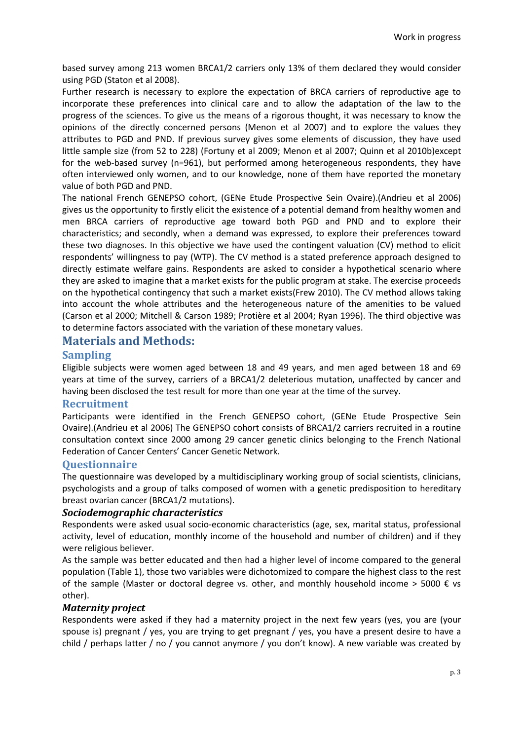based survey among 213 women BRCA1/2 carriers only 13% of them declared they would consider using PGD (Staton et al 2008).

Further research is necessary to explore the expectation of BRCA carriers of reproductive age to incorporate these preferences into clinical care and to allow the adaptation of the law to the progress of the sciences. To give us the means of a rigorous thought, it was necessary to know the opinions of the directly concerned persons (Menon et al 2007) and to explore the values they attributes to PGD and PND. If previous survey gives some elements of discussion, they have used little sample size (from 52 to 228) (Fortuny et al 2009; Menon et al 2007; Quinn et al 2010b)except for the web-based survey (n=961), but performed among heterogeneous respondents, they have often interviewed only women, and to our knowledge, none of them have reported the monetary value of both PGD and PND.

The national French GENEPSO cohort, (GENe Etude Prospective Sein Ovaire).(Andrieu et al 2006) gives us the opportunity to firstly elicit the existence of a potential demand from healthy women and men BRCA carriers of reproductive age toward both PGD and PND and to explore their characteristics; and secondly, when a demand was expressed, to explore their preferences toward these two diagnoses. In this objective we have used the contingent valuation (CV) method to elicit respondents' willingness to pay (WTP). The CV method is a stated preference approach designed to directly estimate welfare gains. Respondents are asked to consider a hypothetical scenario where they are asked to imagine that a market exists for the public program at stake. The exercise proceeds on the hypothetical contingency that such a market exists(Frew 2010). The CV method allows taking into account the whole attributes and the heterogeneous nature of the amenities to be valued (Carson et al 2000; Mitchell & Carson 1989; Protière et al 2004; Ryan 1996). The third objective was to determine factors associated with the variation of these monetary values.

# **Materials and Methods:**

#### **Sampling**

Eligible subjects were women aged between 18 and 49 years, and men aged between 18 and 69 years at time of the survey, carriers of a BRCA1/2 deleterious mutation, unaffected by cancer and having been disclosed the test result for more than one year at the time of the survey.

#### **Recruitment**

Participants were identified in the French GENEPSO cohort, (GENe Etude Prospective Sein Ovaire).(Andrieu et al 2006) The GENEPSO cohort consists of BRCA1/2 carriers recruited in a routine consultation context since 2000 among 29 cancer genetic clinics belonging to the French National Federation of Cancer Centers' Cancer Genetic Network.

# **Questionnaire**

The questionnaire was developed by a multidisciplinary working group of social scientists, clinicians, psychologists and a group of talks composed of women with a genetic predisposition to hereditary breast ovarian cancer (BRCA1/2 mutations).

#### *Sociodemographic characteristics*

Respondents were asked usual socio-economic characteristics (age, sex, marital status, professional activity, level of education, monthly income of the household and number of children) and if they were religious believer.

As the sample was better educated and then had a higher level of income compared to the general population (Table 1), those two variables were dichotomized to compare the highest class to the rest of the sample (Master or doctoral degree vs. other, and monthly household income  $>$  5000  $\epsilon$  vs other).

#### *Maternity project*

Respondents were asked if they had a maternity project in the next few years (yes, you are (your spouse is) pregnant / yes, you are trying to get pregnant / yes, you have a present desire to have a child / perhaps latter / no / you cannot anymore / you don't know). A new variable was created by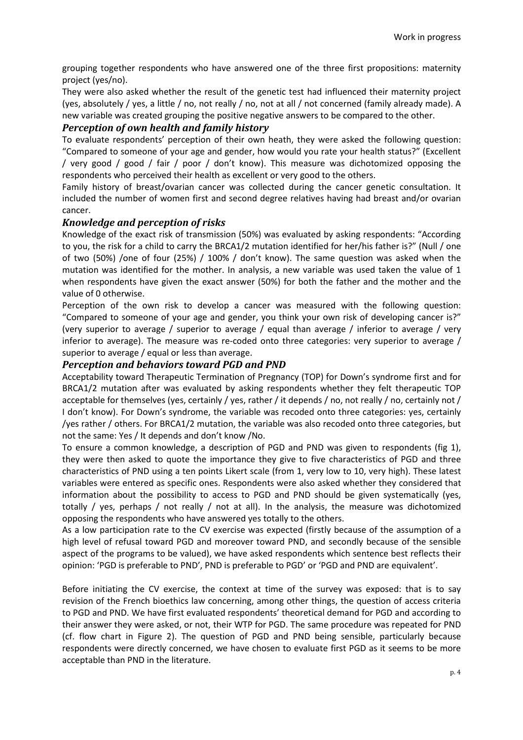grouping together respondents who have answered one of the three first propositions: maternity project (yes/no).

They were also asked whether the result of the genetic test had influenced their maternity project (yes, absolutely / yes, a little / no, not really / no, not at all / not concerned (family already made). A new variable was created grouping the positive negative answers to be compared to the other.

# *Perception of own health and family history*

To evaluate respondents' perception of their own heath, they were asked the following question: "Compared to someone of your age and gender, how would you rate your health status?" (Excellent / very good / good / fair / poor / don't know). This measure was dichotomized opposing the respondents who perceived their health as excellent or very good to the others.

Family history of breast/ovarian cancer was collected during the cancer genetic consultation. It included the number of women first and second degree relatives having had breast and/or ovarian cancer.

# *Knowledge and perception of risks*

Knowledge of the exact risk of transmission (50%) was evaluated by asking respondents: "According to you, the risk for a child to carry the BRCA1/2 mutation identified for her/his father is?" (Null / one of two (50%) /one of four (25%) / 100% / don't know). The same question was asked when the mutation was identified for the mother. In analysis, a new variable was used taken the value of 1 when respondents have given the exact answer (50%) for both the father and the mother and the value of 0 otherwise.

Perception of the own risk to develop a cancer was measured with the following question: "Compared to someone of your age and gender, you think your own risk of developing cancer is?" (very superior to average / superior to average / equal than average / inferior to average / very inferior to average). The measure was re-coded onto three categories: very superior to average / superior to average / equal or less than average.

# *Perception and behaviors toward PGD and PND*

Acceptability toward Therapeutic Termination of Pregnancy (TOP) for Down's syndrome first and for BRCA1/2 mutation after was evaluated by asking respondents whether they felt therapeutic TOP acceptable for themselves (yes, certainly / yes, rather / it depends / no, not really / no, certainly not / I don't know). For Down's syndrome, the variable was recoded onto three categories: yes, certainly /yes rather / others. For BRCA1/2 mutation, the variable was also recoded onto three categories, but not the same: Yes / It depends and don't know /No.

To ensure a common knowledge, a description of PGD and PND was given to respondents (fig 1), they were then asked to quote the importance they give to five characteristics of PGD and three characteristics of PND using a ten points Likert scale (from 1, very low to 10, very high). These latest variables were entered as specific ones. Respondents were also asked whether they considered that information about the possibility to access to PGD and PND should be given systematically (yes, totally / yes, perhaps / not really / not at all). In the analysis, the measure was dichotomized opposing the respondents who have answered yes totally to the others.

As a low participation rate to the CV exercise was expected (firstly because of the assumption of a high level of refusal toward PGD and moreover toward PND, and secondly because of the sensible aspect of the programs to be valued), we have asked respondents which sentence best reflects their opinion: 'PGD is preferable to PND', PND is preferable to PGD' or 'PGD and PND are equivalent'.

Before initiating the CV exercise, the context at time of the survey was exposed: that is to say revision of the French bioethics law concerning, among other things, the question of access criteria to PGD and PND. We have first evaluated respondents' theoretical demand for PGD and according to their answer they were asked, or not, their WTP for PGD. The same procedure was repeated for PND (cf. flow chart in Figure 2). The question of PGD and PND being sensible, particularly because respondents were directly concerned, we have chosen to evaluate first PGD as it seems to be more acceptable than PND in the literature.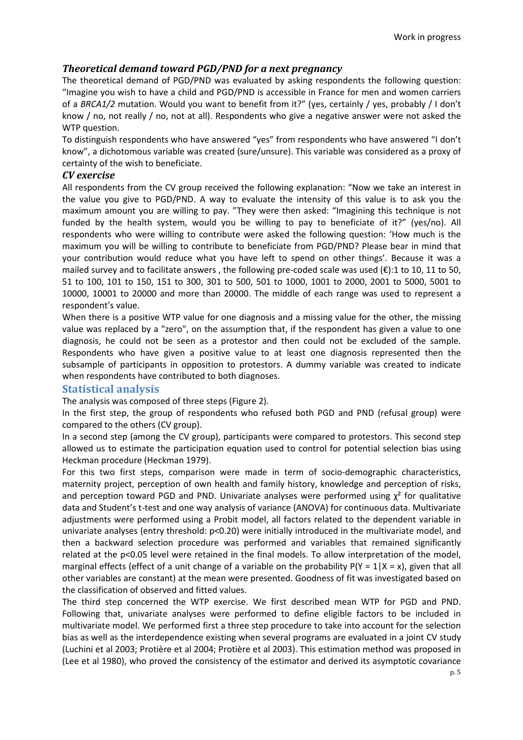# *Theoretical demand toward PGD/PND for a next pregnancy*

The theoretical demand of PGD/PND was evaluated by asking respondents the following question: "Imagine you wish to have a child and PGD/PND is accessible in France for men and women carriers of a *BRCA1/2* mutation. Would you want to benefit from it?" (yes, certainly / yes, probably / I don't know / no, not really / no, not at all). Respondents who give a negative answer were not asked the WTP question.

To distinguish respondents who have answered "yes" from respondents who have answered "I don't know", a dichotomous variable was created (sure/unsure). This variable was considered as a proxy of certainty of the wish to beneficiate.

# *CV exercise*

All respondents from the CV group received the following explanation: "Now we take an interest in the value you give to PGD/PND. A way to evaluate the intensity of this value is to ask you the maximum amount you are willing to pay. "They were then asked: "Imagining this technique is not funded by the health system, would you be willing to pay to beneficiate of it?" (yes/no). All respondents who were willing to contribute were asked the following question: 'How much is the maximum you will be willing to contribute to beneficiate from PGD/PND? Please bear in mind that your contribution would reduce what you have left to spend on other things'. Because it was a mailed survey and to facilitate answers, the following pre-coded scale was used  $(\epsilon)$ :1 to 10, 11 to 50, 51 to 100, 101 to 150, 151 to 300, 301 to 500, 501 to 1000, 1001 to 2000, 2001 to 5000, 5001 to 10000, 10001 to 20000 and more than 20000. The middle of each range was used to represent a respondent's value.

When there is a positive WTP value for one diagnosis and a missing value for the other, the missing value was replaced by a "zero", on the assumption that, if the respondent has given a value to one diagnosis, he could not be seen as a protestor and then could not be excluded of the sample. Respondents who have given a positive value to at least one diagnosis represented then the subsample of participants in opposition to protestors. A dummy variable was created to indicate when respondents have contributed to both diagnoses.

# **Statistical analysis**

The analysis was composed of three steps (Figure 2).

In the first step, the group of respondents who refused both PGD and PND (refusal group) were compared to the others (CV group).

In a second step (among the CV group), participants were compared to protestors. This second step allowed us to estimate the participation equation used to control for potential selection bias using Heckman procedure (Heckman 1979).

For this two first steps, comparison were made in term of socio-demographic characteristics, maternity project, perception of own health and family history, knowledge and perception of risks, and perception toward PGD and PND. Univariate analyses were performed using  $\chi^2$  for qualitative data and Student's t-test and one way analysis of variance (ANOVA) for continuous data. Multivariate adjustments were performed using a Probit model, all factors related to the dependent variable in univariate analyses (entry threshold: p<0.20) were initially introduced in the multivariate model, and then a backward selection procedure was performed and variables that remained significantly related at the p<0.05 level were retained in the final models. To allow interpretation of the model, marginal effects (effect of a unit change of a variable on the probability  $P(Y = 1 | X = x)$ , given that all other variables are constant) at the mean were presented. Goodness of fit was investigated based on the classification of observed and fitted values.

The third step concerned the WTP exercise. We first described mean WTP for PGD and PND. Following that, univariate analyses were performed to define eligible factors to be included in multivariate model. We performed first a three step procedure to take into account for the selection bias as well as the interdependence existing when several programs are evaluated in a joint CV study (Luchini et al 2003; Protière et al 2004; Protière et al 2003). This estimation method was proposed in (Lee et al 1980), who proved the consistency of the estimator and derived its asymptotic covariance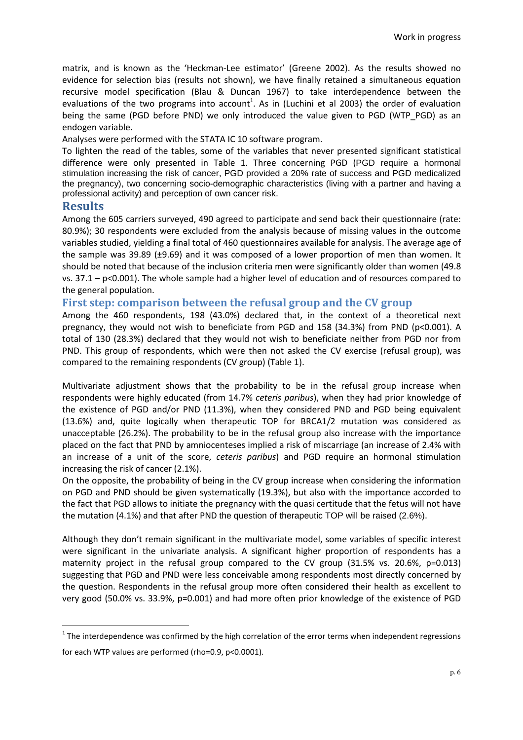matrix, and is known as the 'Heckman-Lee estimator' (Greene 2002). As the results showed no evidence for selection bias (results not shown), we have finally retained a simultaneous equation recursive model specification (Blau & Duncan 1967) to take interdependence between the evaluations of the two programs into account<sup>1</sup>. As in (Luchini et al 2003) the order of evaluation being the same (PGD before PND) we only introduced the value given to PGD (WTP PGD) as an endogen variable.

Analyses were performed with the STATA IC 10 software program.

To lighten the read of the tables, some of the variables that never presented significant statistical difference were only presented in Table 1. Three concerning PGD (PGD require a hormonal stimulation increasing the risk of cancer, PGD provided a 20% rate of success and PGD medicalized the pregnancy), two concerning socio-demographic characteristics (living with a partner and having a professional activity) and perception of own cancer risk.

# **Results**

 $\overline{a}$ 

Among the 605 carriers surveyed, 490 agreed to participate and send back their questionnaire (rate: 80.9%); 30 respondents were excluded from the analysis because of missing values in the outcome variables studied, yielding a final total of 460 questionnaires available for analysis. The average age of the sample was 39.89 ( $\pm$ 9.69) and it was composed of a lower proportion of men than women. It should be noted that because of the inclusion criteria men were significantly older than women (49.8 vs. 37.1 – p<0.001). The whole sample had a higher level of education and of resources compared to the general population.

# **First step: comparison between the refusal group and the CV group**

Among the 460 respondents, 198 (43.0%) declared that, in the context of a theoretical next pregnancy, they would not wish to beneficiate from PGD and 158 (34.3%) from PND (p<0.001). A total of 130 (28.3%) declared that they would not wish to beneficiate neither from PGD nor from PND. This group of respondents, which were then not asked the CV exercise (refusal group), was compared to the remaining respondents (CV group) (Table 1).

Multivariate adjustment shows that the probability to be in the refusal group increase when respondents were highly educated (from 14.7% *ceteris paribus*), when they had prior knowledge of the existence of PGD and/or PND (11.3%), when they considered PND and PGD being equivalent (13.6%) and, quite logically when therapeutic TOP for BRCA1/2 mutation was considered as unacceptable (26.2%). The probability to be in the refusal group also increase with the importance placed on the fact that PND by amniocenteses implied a risk of miscarriage (an increase of 2.4% with an increase of a unit of the score, *ceteris paribus*) and PGD require an hormonal stimulation increasing the risk of cancer (2.1%).

On the opposite, the probability of being in the CV group increase when considering the information on PGD and PND should be given systematically (19.3%), but also with the importance accorded to the fact that PGD allows to initiate the pregnancy with the quasi certitude that the fetus will not have the mutation (4.1%) and that after PND the question of therapeutic TOP will be raised (2.6%).

Although they don't remain significant in the multivariate model, some variables of specific interest were significant in the univariate analysis. A significant higher proportion of respondents has a maternity project in the refusal group compared to the CV group  $(31.5\% \text{ vs. } 20.6\% , p=0.013)$ suggesting that PGD and PND were less conceivable among respondents most directly concerned by the question. Respondents in the refusal group more often considered their health as excellent to very good (50.0% vs. 33.9%, p=0.001) and had more often prior knowledge of the existence of PGD

 $1$  The interdependence was confirmed by the high correlation of the error terms when independent regressions for each WTP values are performed (rho=0.9, p<0.0001).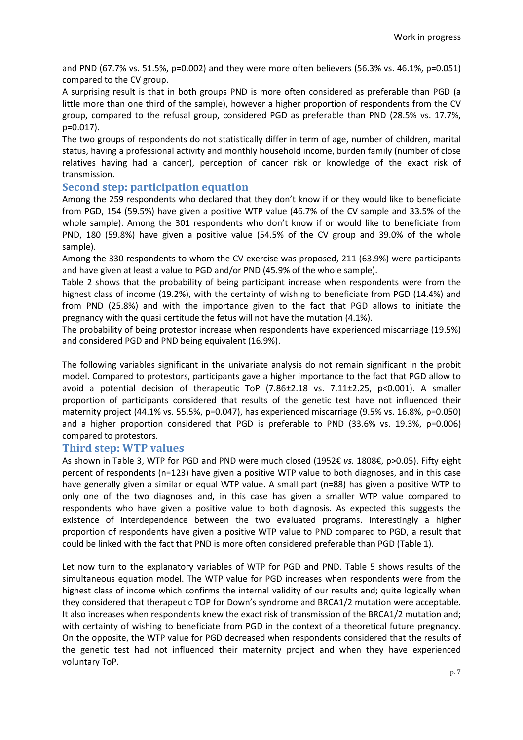and PND (67.7% vs. 51.5%, p=0.002) and they were more often believers (56.3% vs. 46.1%, p=0.051) compared to the CV group.

A surprising result is that in both groups PND is more often considered as preferable than PGD (a little more than one third of the sample), however a higher proportion of respondents from the CV group, compared to the refusal group, considered PGD as preferable than PND (28.5% vs. 17.7%, p=0.017).

The two groups of respondents do not statistically differ in term of age, number of children, marital status, having a professional activity and monthly household income, burden family (number of close relatives having had a cancer), perception of cancer risk or knowledge of the exact risk of transmission.

# **Second step: participation equation**

Among the 259 respondents who declared that they don't know if or they would like to beneficiate from PGD, 154 (59.5%) have given a positive WTP value (46.7% of the CV sample and 33.5% of the whole sample). Among the 301 respondents who don't know if or would like to beneficiate from PND, 180 (59.8%) have given a positive value (54.5% of the CV group and 39.0% of the whole sample).

Among the 330 respondents to whom the CV exercise was proposed, 211 (63.9%) were participants and have given at least a value to PGD and/or PND (45.9% of the whole sample).

Table 2 shows that the probability of being participant increase when respondents were from the highest class of income (19.2%), with the certainty of wishing to beneficiate from PGD (14.4%) and from PND (25.8%) and with the importance given to the fact that PGD allows to initiate the pregnancy with the quasi certitude the fetus will not have the mutation (4.1%).

The probability of being protestor increase when respondents have experienced miscarriage (19.5%) and considered PGD and PND being equivalent (16.9%).

The following variables significant in the univariate analysis do not remain significant in the probit model. Compared to protestors, participants gave a higher importance to the fact that PGD allow to avoid a potential decision of therapeutic ToP  $(7.86\pm2.18 \text{ vs. } 7.11\pm2.25, \text{ p}<0.001)$ . A smaller proportion of participants considered that results of the genetic test have not influenced their maternity project (44.1% vs. 55.5%, p=0.047), has experienced miscarriage (9.5% vs. 16.8%, p=0.050) and a higher proportion considered that PGD is preferable to PND (33.6% vs. 19.3%, p=0.006) compared to protestors.

#### **Third step: WTP values**

As shown in Table 3, WTP for PGD and PND were much closed (1952€ *vs.* 1808€, p>0.05). Fifty eight percent of respondents (n=123) have given a positive WTP value to both diagnoses, and in this case have generally given a similar or equal WTP value. A small part (n=88) has given a positive WTP to only one of the two diagnoses and, in this case has given a smaller WTP value compared to respondents who have given a positive value to both diagnosis. As expected this suggests the existence of interdependence between the two evaluated programs. Interestingly a higher proportion of respondents have given a positive WTP value to PND compared to PGD, a result that could be linked with the fact that PND is more often considered preferable than PGD (Table 1).

Let now turn to the explanatory variables of WTP for PGD and PND. Table 5 shows results of the simultaneous equation model. The WTP value for PGD increases when respondents were from the highest class of income which confirms the internal validity of our results and; quite logically when they considered that therapeutic TOP for Down's syndrome and BRCA1/2 mutation were acceptable. It also increases when respondents knew the exact risk of transmission of the BRCA1/2 mutation and; with certainty of wishing to beneficiate from PGD in the context of a theoretical future pregnancy. On the opposite, the WTP value for PGD decreased when respondents considered that the results of the genetic test had not influenced their maternity project and when they have experienced voluntary ToP.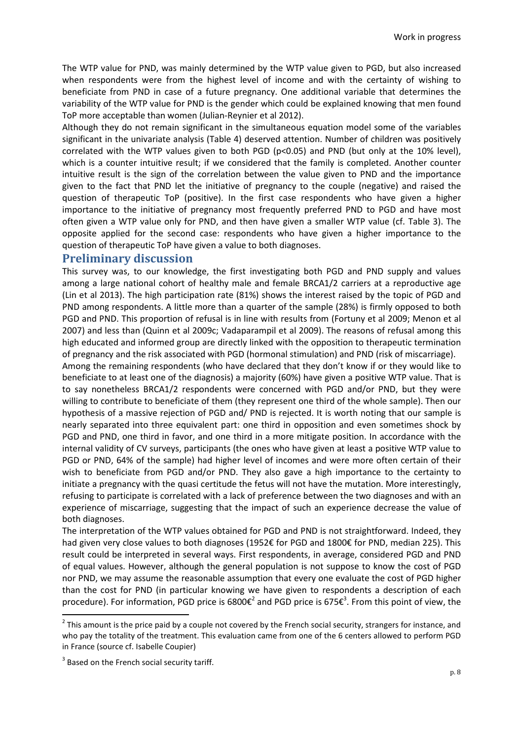The WTP value for PND, was mainly determined by the WTP value given to PGD, but also increased when respondents were from the highest level of income and with the certainty of wishing to beneficiate from PND in case of a future pregnancy. One additional variable that determines the variability of the WTP value for PND is the gender which could be explained knowing that men found ToP more acceptable than women (Julian-Reynier et al 2012).

Although they do not remain significant in the simultaneous equation model some of the variables significant in the univariate analysis (Table 4) deserved attention. Number of children was positively correlated with the WTP values given to both PGD (p<0.05) and PND (but only at the 10% level), which is a counter intuitive result; if we considered that the family is completed. Another counter intuitive result is the sign of the correlation between the value given to PND and the importance given to the fact that PND let the initiative of pregnancy to the couple (negative) and raised the question of therapeutic ToP (positive). In the first case respondents who have given a higher importance to the initiative of pregnancy most frequently preferred PND to PGD and have most often given a WTP value only for PND, and then have given a smaller WTP value (cf. Table 3). The opposite applied for the second case: respondents who have given a higher importance to the question of therapeutic ToP have given a value to both diagnoses.

# **Preliminary discussion**

This survey was, to our knowledge, the first investigating both PGD and PND supply and values among a large national cohort of healthy male and female BRCA1/2 carriers at a reproductive age (Lin et al 2013). The high participation rate (81%) shows the interest raised by the topic of PGD and PND among respondents. A little more than a quarter of the sample (28%) is firmly opposed to both PGD and PND. This proportion of refusal is in line with results from (Fortuny et al 2009; Menon et al 2007) and less than (Quinn et al 2009c; Vadaparampil et al 2009). The reasons of refusal among this high educated and informed group are directly linked with the opposition to therapeutic termination of pregnancy and the risk associated with PGD (hormonal stimulation) and PND (risk of miscarriage).

Among the remaining respondents (who have declared that they don't know if or they would like to beneficiate to at least one of the diagnosis) a majority (60%) have given a positive WTP value. That is to say nonetheless BRCA1/2 respondents were concerned with PGD and/or PND, but they were willing to contribute to beneficiate of them (they represent one third of the whole sample). Then our hypothesis of a massive rejection of PGD and/ PND is rejected. It is worth noting that our sample is nearly separated into three equivalent part: one third in opposition and even sometimes shock by PGD and PND, one third in favor, and one third in a more mitigate position. In accordance with the internal validity of CV surveys, participants (the ones who have given at least a positive WTP value to PGD or PND, 64% of the sample) had higher level of incomes and were more often certain of their wish to beneficiate from PGD and/or PND. They also gave a high importance to the certainty to initiate a pregnancy with the quasi certitude the fetus will not have the mutation. More interestingly, refusing to participate is correlated with a lack of preference between the two diagnoses and with an experience of miscarriage, suggesting that the impact of such an experience decrease the value of both diagnoses.

The interpretation of the WTP values obtained for PGD and PND is not straightforward. Indeed, they had given very close values to both diagnoses (1952€ for PGD and 1800€ for PND, median 225). This result could be interpreted in several ways. First respondents, in average, considered PGD and PND of equal values. However, although the general population is not suppose to know the cost of PGD nor PND, we may assume the reasonable assumption that every one evaluate the cost of PGD higher than the cost for PND (in particular knowing we have given to respondents a description of each procedure). For information, PGD price is 6800 $\varepsilon^2$  and PGD price is 675 $\varepsilon^3$ . From this point of view, the

l

 $2$  This amount is the price paid by a couple not covered by the French social security, strangers for instance, and who pay the totality of the treatment. This evaluation came from one of the 6 centers allowed to perform PGD in France (source cf. Isabelle Coupier)

 $3$  Based on the French social security tariff.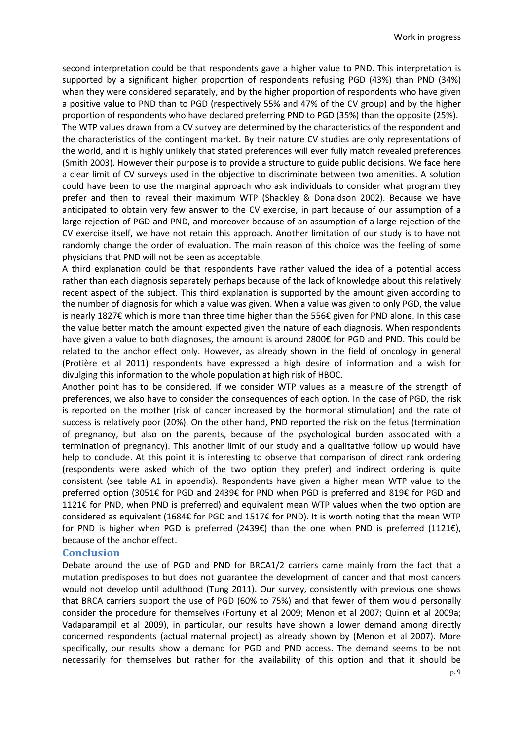second interpretation could be that respondents gave a higher value to PND. This interpretation is supported by a significant higher proportion of respondents refusing PGD (43%) than PND (34%) when they were considered separately, and by the higher proportion of respondents who have given a positive value to PND than to PGD (respectively 55% and 47% of the CV group) and by the higher proportion of respondents who have declared preferring PND to PGD (35%) than the opposite (25%).

The WTP values drawn from a CV survey are determined by the characteristics of the respondent and the characteristics of the contingent market. By their nature CV studies are only representations of the world, and it is highly unlikely that stated preferences will ever fully match revealed preferences (Smith 2003). However their purpose is to provide a structure to guide public decisions. We face here a clear limit of CV surveys used in the objective to discriminate between two amenities. A solution could have been to use the marginal approach who ask individuals to consider what program they prefer and then to reveal their maximum WTP (Shackley & Donaldson 2002). Because we have anticipated to obtain very few answer to the CV exercise, in part because of our assumption of a large rejection of PGD and PND, and moreover because of an assumption of a large rejection of the CV exercise itself, we have not retain this approach. Another limitation of our study is to have not randomly change the order of evaluation. The main reason of this choice was the feeling of some physicians that PND will not be seen as acceptable.

A third explanation could be that respondents have rather valued the idea of a potential access rather than each diagnosis separately perhaps because of the lack of knowledge about this relatively recent aspect of the subject. This third explanation is supported by the amount given according to the number of diagnosis for which a value was given. When a value was given to only PGD, the value is nearly 1827€ which is more than three time higher than the 556€ given for PND alone. In this case the value better match the amount expected given the nature of each diagnosis. When respondents have given a value to both diagnoses, the amount is around 2800€ for PGD and PND. This could be related to the anchor effect only. However, as already shown in the field of oncology in general (Protière et al 2011) respondents have expressed a high desire of information and a wish for divulging this information to the whole population at high risk of HBOC.

Another point has to be considered. If we consider WTP values as a measure of the strength of preferences, we also have to consider the consequences of each option. In the case of PGD, the risk is reported on the mother (risk of cancer increased by the hormonal stimulation) and the rate of success is relatively poor (20%). On the other hand, PND reported the risk on the fetus (termination of pregnancy, but also on the parents, because of the psychological burden associated with a termination of pregnancy). This another limit of our study and a qualitative follow up would have help to conclude. At this point it is interesting to observe that comparison of direct rank ordering (respondents were asked which of the two option they prefer) and indirect ordering is quite consistent (see table A1 in appendix). Respondents have given a higher mean WTP value to the preferred option (3051€ for PGD and 2439€ for PND when PGD is preferred and 819€ for PGD and 1121€ for PND, when PND is preferred) and equivalent mean WTP values when the two option are considered as equivalent (1684€ for PGD and 1517€ for PND). It is worth noting that the mean WTP for PND is higher when PGD is preferred (2439€) than the one when PND is preferred (1121€), because of the anchor effect.

# **Conclusion**

Debate around the use of PGD and PND for BRCA1/2 carriers came mainly from the fact that a mutation predisposes to but does not guarantee the development of cancer and that most cancers would not develop until adulthood (Tung 2011). Our survey, consistently with previous one shows that BRCA carriers support the use of PGD (60% to 75%) and that fewer of them would personally consider the procedure for themselves (Fortuny et al 2009; Menon et al 2007; Quinn et al 2009a; Vadaparampil et al 2009), in particular, our results have shown a lower demand among directly concerned respondents (actual maternal project) as already shown by (Menon et al 2007). More specifically, our results show a demand for PGD and PND access. The demand seems to be not necessarily for themselves but rather for the availability of this option and that it should be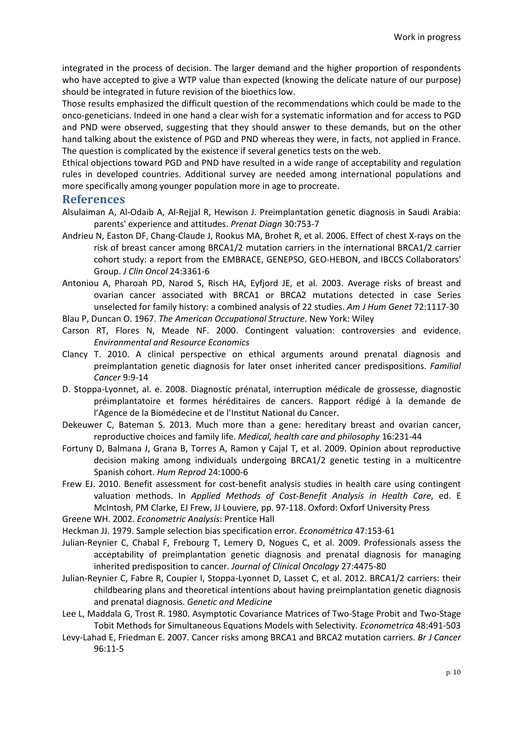integrated in the process of decision. The larger demand and the higher proportion of respondents who have accepted to give a WTP value than expected (knowing the delicate nature of our purpose) should be integrated in future revision of the bioethics low.

Those results emphasized the difficult question of the recommendations which could be made to the onco-geneticians. Indeed in one hand a clear wish for a systematic information and for access to PGD and PND were observed, suggesting that they should answer to these demands, but on the other hand talking about the existence of PGD and PND whereas they were, in facts, not applied in France. The question is complicated by the existence if several genetics tests on the web.

Ethical objections toward PGD and PND have resulted in a wide range of acceptability and regulation rules in developed countries. Additional survey are needed among international populations and more specifically among younger population more in age to procreate.

#### **References**

- Alsulaiman A, Al-Odaib A, Al-Rejjal R, Hewison J. Preimplantation genetic diagnosis in Saudi Arabia: parents' experience and attitudes. *Prenat Diagn* 30:753-7
- Andrieu N, Easton DF, Chang-Claude J, Rookus MA, Brohet R, et al. 2006. Effect of chest X-rays on the risk of breast cancer among BRCA1/2 mutation carriers in the international BRCA1/2 carrier cohort study: a report from the EMBRACE, GENEPSO, GEO-HEBON, and IBCCS Collaborators' Group. *J Clin Oncol* 24:3361-6
- Antoniou A, Pharoah PD, Narod S, Risch HA, Eyfjord JE, et al. 2003. Average risks of breast and ovarian cancer associated with BRCA1 or BRCA2 mutations detected in case Series unselected for family history: a combined analysis of 22 studies. *Am J Hum Genet* 72:1117-30
- Blau P, Duncan O. 1967. *The American Occupational Structure*. New York: Wiley
- Carson RT, Flores N, Meade NF. 2000. Contingent valuation: controversies and evidence. *Environmental and Resource Economics*
- Clancy T. 2010. A clinical perspective on ethical arguments around prenatal diagnosis and preimplantation genetic diagnosis for later onset inherited cancer predispositions. *Familial Cancer* 9:9-14
- D. Stoppa-Lyonnet, al. e. 2008. Diagnostic prénatal, interruption médicale de grossesse, diagnostic préimplantatoire et formes héréditaires de cancers. Rapport rédigé à la demande de l'Agence de la Biomédecine et de l'Institut National du Cancer.
- Dekeuwer C, Bateman S. 2013. Much more than a gene: hereditary breast and ovarian cancer, reproductive choices and family life. *Medical, health care and philosophy* 16:231-44
- Fortuny D, Balmana J, Grana B, Torres A, Ramon y Cajal T, et al. 2009. Opinion about reproductive decision making among individuals undergoing BRCA1/2 genetic testing in a multicentre Spanish cohort. *Hum Reprod* 24:1000-6
- Frew EJ. 2010. Benefit assessment for cost-benefit analysis studies in health care using contingent valuation methods. In *Applied Methods of Cost-Benefit Analysis in Health Care*, ed. E McIntosh, PM Clarke, EJ Frew, JJ Louviere, pp. 97-118. Oxford: Oxforf University Press
- Greene WH. 2002. *Econometric Analysis*: Prentice Hall
- Heckman JJ. 1979. Sample selection bias specification error. *Econométrica* 47:153-61
- Julian-Reynier C, Chabal F, Frebourg T, Lemery D, Nogues C, et al. 2009. Professionals assess the acceptability of preimplantation genetic diagnosis and prenatal diagnosis for managing inherited predisposition to cancer. *Journal of Clinical Oncology* 27:4475-80
- Julian-Reynier C, Fabre R, Coupier I, Stoppa-Lyonnet D, Lasset C, et al. 2012. BRCA1/2 carriers: their childbearing plans and theoretical intentions about having preimplantation genetic diagnosis and prenatal diagnosis. *Genetic and Medicine*
- Lee L, Maddala G, Trost R. 1980. Asymptotic Covariance Matrices of Two-Stage Probit and Two-Stage Tobit Methods for Simultaneous Equations Models with Selectivity. *Econometrica* 48:491-503
- Levy-Lahad E, Friedman E. 2007. Cancer risks among BRCA1 and BRCA2 mutation carriers. *Br J Cancer* 96:11-5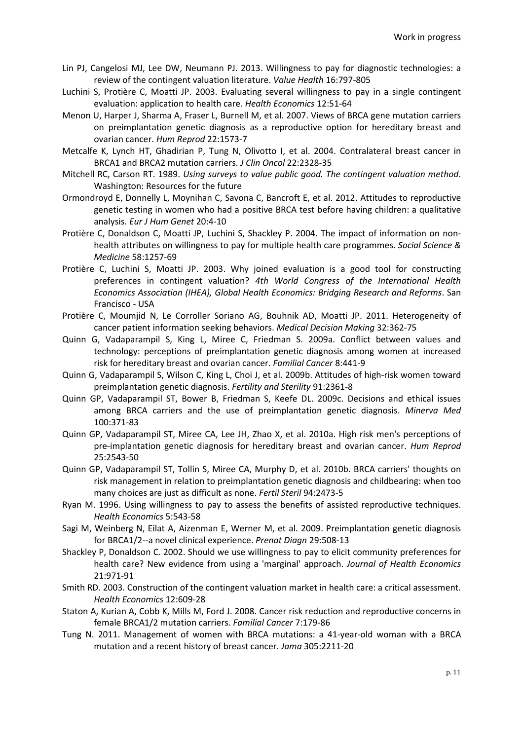- Lin PJ, Cangelosi MJ, Lee DW, Neumann PJ. 2013. Willingness to pay for diagnostic technologies: a review of the contingent valuation literature. *Value Health* 16:797-805
- Luchini S, Protière C, Moatti JP. 2003. Evaluating several willingness to pay in a single contingent evaluation: application to health care. *Health Economics* 12:51-64
- Menon U, Harper J, Sharma A, Fraser L, Burnell M, et al. 2007. Views of BRCA gene mutation carriers on preimplantation genetic diagnosis as a reproductive option for hereditary breast and ovarian cancer. *Hum Reprod* 22:1573-7
- Metcalfe K, Lynch HT, Ghadirian P, Tung N, Olivotto I, et al. 2004. Contralateral breast cancer in BRCA1 and BRCA2 mutation carriers. *J Clin Oncol* 22:2328-35
- Mitchell RC, Carson RT. 1989. *Using surveys to value public good. The contingent valuation method*. Washington: Resources for the future
- Ormondroyd E, Donnelly L, Moynihan C, Savona C, Bancroft E, et al. 2012. Attitudes to reproductive genetic testing in women who had a positive BRCA test before having children: a qualitative analysis. *Eur J Hum Genet* 20:4-10
- Protière C, Donaldson C, Moatti JP, Luchini S, Shackley P. 2004. The impact of information on nonhealth attributes on willingness to pay for multiple health care programmes. *Social Science & Medicine* 58:1257-69
- Protière C, Luchini S, Moatti JP. 2003. Why joined evaluation is a good tool for constructing preferences in contingent valuation? *4th World Congress of the International Health Economics Association (IHEA), Global Health Economics: Bridging Research and Reforms*. San Francisco - USA
- Protière C, Moumjid N, Le Corroller Soriano AG, Bouhnik AD, Moatti JP. 2011. Heterogeneity of cancer patient information seeking behaviors. *Medical Decision Making* 32:362-75
- Quinn G, Vadaparampil S, King L, Miree C, Friedman S. 2009a. Conflict between values and technology: perceptions of preimplantation genetic diagnosis among women at increased risk for hereditary breast and ovarian cancer. *Familial Cancer* 8:441-9
- Quinn G, Vadaparampil S, Wilson C, King L, Choi J, et al. 2009b. Attitudes of high-risk women toward preimplantation genetic diagnosis. *Fertility and Sterility* 91:2361-8
- Quinn GP, Vadaparampil ST, Bower B, Friedman S, Keefe DL. 2009c. Decisions and ethical issues among BRCA carriers and the use of preimplantation genetic diagnosis. *Minerva Med* 100:371-83
- Quinn GP, Vadaparampil ST, Miree CA, Lee JH, Zhao X, et al. 2010a. High risk men's perceptions of pre-implantation genetic diagnosis for hereditary breast and ovarian cancer. *Hum Reprod* 25:2543-50
- Quinn GP, Vadaparampil ST, Tollin S, Miree CA, Murphy D, et al. 2010b. BRCA carriers' thoughts on risk management in relation to preimplantation genetic diagnosis and childbearing: when too many choices are just as difficult as none. *Fertil Steril* 94:2473-5
- Ryan M. 1996. Using willingness to pay to assess the benefits of assisted reproductive techniques. *Health Economics* 5:543-58
- Sagi M, Weinberg N, Eilat A, Aizenman E, Werner M, et al. 2009. Preimplantation genetic diagnosis for BRCA1/2--a novel clinical experience. *Prenat Diagn* 29:508-13
- Shackley P, Donaldson C. 2002. Should we use willingness to pay to elicit community preferences for health care? New evidence from using a 'marginal' approach. *Journal of Health Economics* 21:971-91
- Smith RD. 2003. Construction of the contingent valuation market in health care: a critical assessment. *Health Economics* 12:609-28
- Staton A, Kurian A, Cobb K, Mills M, Ford J. 2008. Cancer risk reduction and reproductive concerns in female BRCA1/2 mutation carriers. *Familial Cancer* 7:179-86
- Tung N. 2011. Management of women with BRCA mutations: a 41-year-old woman with a BRCA mutation and a recent history of breast cancer. *Jama* 305:2211-20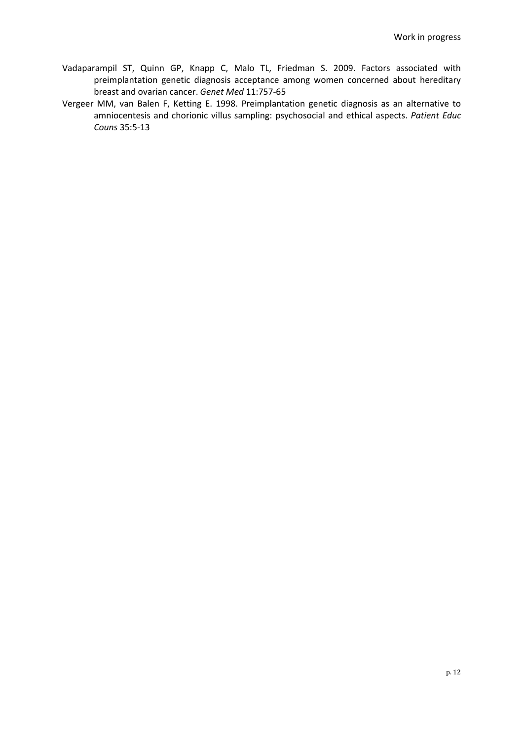- Vadaparampil ST, Quinn GP, Knapp C, Malo TL, Friedman S. 2009. Factors associated with preimplantation genetic diagnosis acceptance among women concerned about hereditary breast and ovarian cancer. *Genet Med* 11:757-65
- Vergeer MM, van Balen F, Ketting E. 1998. Preimplantation genetic diagnosis as an alternative to amniocentesis and chorionic villus sampling: psychosocial and ethical aspects. *Patient Educ Couns* 35:5-13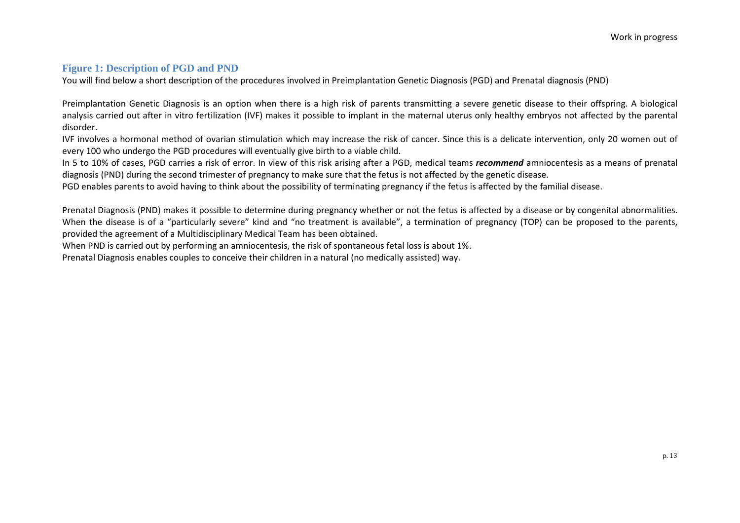# **Figure 1: Description of PGD and PND**

You will find below a short description of the procedures involved in Preimplantation Genetic Diagnosis (PGD) and Prenatal diagnosis (PND)

Preimplantation Genetic Diagnosis is an option when there is a high risk of parents transmitting a severe genetic disease to their offspring. A biological analysis carried out after in vitro fertilization (IVF) makes it possible to implant in the maternal uterus only healthy embryos not affected by the parental disorder.

IVF involves a hormonal method of ovarian stimulation which may increase the risk of cancer. Since this is a delicate intervention, only 20 women out of every 100 who undergo the PGD procedures will eventually give birth to a viable child.

In 5 to 10% of cases, PGD carries a risk of error. In view of this risk arising after a PGD, medical teams *recommend* amniocentesis as a means of prenatal diagnosis (PND) during the second trimester of pregnancy to make sure that the fetus is not affected by the genetic disease.

PGD enables parents to avoid having to think about the possibility of terminating pregnancy if the fetus is affected by the familial disease.

Prenatal Diagnosis (PND) makes it possible to determine during pregnancy whether or not the fetus is affected by a disease or by congenital abnormalities. When the disease is of a "particularly severe" kind and "no treatment is available", a termination of pregnancy (TOP) can be proposed to the parents, provided the agreement of a Multidisciplinary Medical Team has been obtained.

When PND is carried out by performing an amniocentesis, the risk of spontaneous fetal loss is about 1%.

Prenatal Diagnosis enables couples to conceive their children in a natural (no medically assisted) way.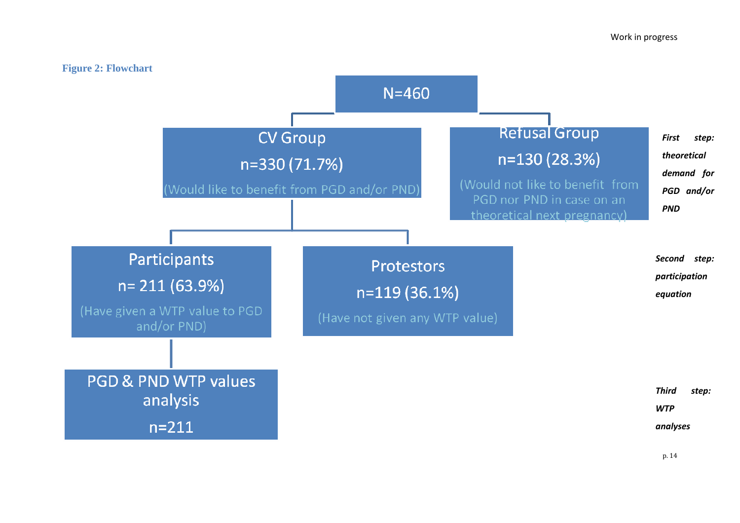

p. 14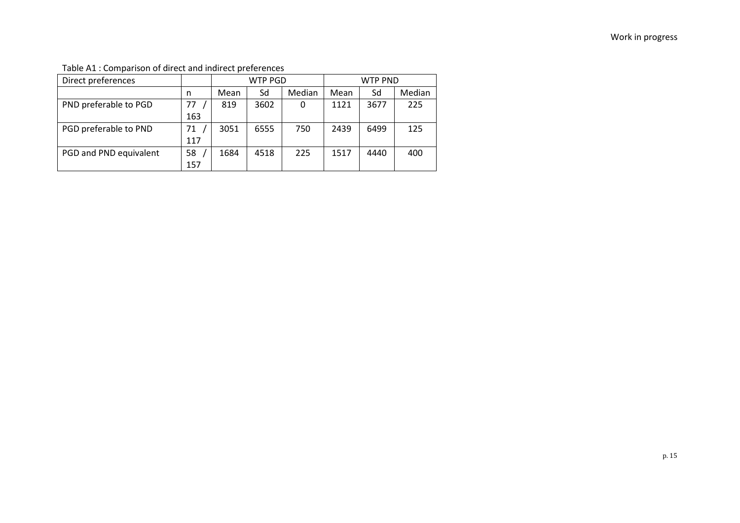Table A1 : Comparison of direct and indirect preferences

| Direct preferences     |     |      | <b>WTP PGD</b> |        | <b>WTP PND</b> |      |        |  |
|------------------------|-----|------|----------------|--------|----------------|------|--------|--|
|                        | n   | Mean | Sd             | Median | Mean           | Sd   | Median |  |
| PND preferable to PGD  | 77  | 819  | 3602           |        | 1121           | 3677 | 225    |  |
|                        | 163 |      |                |        |                |      |        |  |
| PGD preferable to PND  | 71  | 3051 | 6555           | 750    | 2439           | 6499 | 125    |  |
|                        | 117 |      |                |        |                |      |        |  |
| PGD and PND equivalent | 58  | 1684 | 4518           | 225    | 1517           | 4440 | 400    |  |
|                        | 157 |      |                |        |                |      |        |  |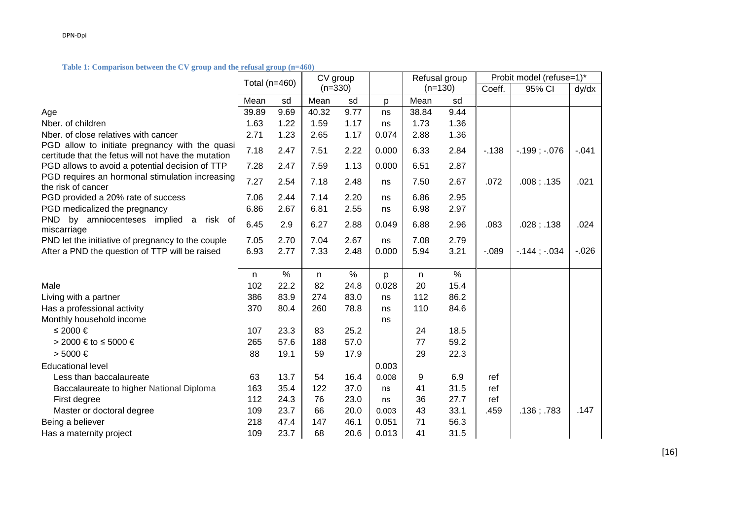#### **Table 1: Comparison between the CV group and the refusal group (n=460)**

|                                                                                                       | Total (n=460) |      | CV group  |      |       | Refusal group |      | Probit model (refuse=1)* |                   |          |
|-------------------------------------------------------------------------------------------------------|---------------|------|-----------|------|-------|---------------|------|--------------------------|-------------------|----------|
|                                                                                                       |               |      | $(n=330)$ |      |       | $(n=130)$     |      | Coeff.                   | 95% CI            | dy/dx    |
|                                                                                                       | Mean          | sd   | Mean      | sd   | p     | Mean          | sd   |                          |                   |          |
| Age                                                                                                   | 39.89         | 9.69 | 40.32     | 9.77 | ns    | 38.84         | 9.44 |                          |                   |          |
| Nber. of children                                                                                     | 1.63          | 1.22 | 1.59      | 1.17 | ns    | 1.73          | 1.36 |                          |                   |          |
| Nber, of close relatives with cancer                                                                  | 2.71          | 1.23 | 2.65      | 1.17 | 0.074 | 2.88          | 1.36 |                          |                   |          |
| PGD allow to initiate pregnancy with the quasi<br>certitude that the fetus will not have the mutation | 7.18          | 2.47 | 7.51      | 2.22 | 0.000 | 6.33          | 2.84 | $-138$                   | $-.199$ ; $-.076$ | $-.041$  |
| PGD allows to avoid a potential decision of TTP                                                       | 7.28          | 2.47 | 7.59      | 1.13 | 0.000 | 6.51          | 2.87 |                          |                   |          |
| PGD requires an hormonal stimulation increasing<br>the risk of cancer                                 | 7.27          | 2.54 | 7.18      | 2.48 | ns    | 7.50          | 2.67 | .072                     | .008; .135        | .021     |
| PGD provided a 20% rate of success                                                                    | 7.06          | 2.44 | 7.14      | 2.20 | ns    | 6.86          | 2.95 |                          |                   |          |
| PGD medicalized the pregnancy                                                                         | 6.86          | 2.67 | 6.81      | 2.55 | ns    | 6.98          | 2.97 |                          |                   |          |
| <b>PND</b><br>by amniocenteses implied<br>risk of<br>a<br>miscarriage                                 | 6.45          | 2.9  | 6.27      | 2.88 | 0.049 | 6.88          | 2.96 | .083                     | .028; .138        | .024     |
| PND let the initiative of pregnancy to the couple                                                     | 7.05          | 2.70 | 7.04      | 2.67 | ns    | 7.08          | 2.79 |                          |                   |          |
| After a PND the question of TTP will be raised                                                        | 6.93          | 2.77 | 7.33      | 2.48 | 0.000 | 5.94          | 3.21 | $-089$                   | $-144$ ; $-034$   | $-0.026$ |
|                                                                                                       |               |      |           |      |       |               |      |                          |                   |          |
|                                                                                                       | n             | $\%$ | n.        | $\%$ | p     | n             | $\%$ |                          |                   |          |
| Male                                                                                                  | 102           | 22.2 | 82        | 24.8 | 0.028 | 20            | 15.4 |                          |                   |          |
| Living with a partner                                                                                 | 386           | 83.9 | 274       | 83.0 | ns    | 112           | 86.2 |                          |                   |          |
| Has a professional activity                                                                           | 370           | 80.4 | 260       | 78.8 | ns    | 110           | 84.6 |                          |                   |          |
| Monthly household income                                                                              |               |      |           |      | ns    |               |      |                          |                   |          |
| ≤ 2000 €                                                                                              | 107           | 23.3 | 83        | 25.2 |       | 24            | 18.5 |                          |                   |          |
| > 2000 € to $\leq 5000 \in$                                                                           | 265           | 57.6 | 188       | 57.0 |       | 77            | 59.2 |                          |                   |          |
| $> 5000$ €                                                                                            | 88            | 19.1 | 59        | 17.9 |       | 29            | 22.3 |                          |                   |          |
| <b>Educational level</b>                                                                              |               |      |           |      | 0.003 |               |      |                          |                   |          |
| Less than baccalaureate                                                                               | 63            | 13.7 | 54        | 16.4 | 0.008 | 9             | 6.9  | ref                      |                   |          |
| Baccalaureate to higher National Diploma                                                              | 163           | 35.4 | 122       | 37.0 | ns    | 41            | 31.5 | ref                      |                   |          |
| First degree                                                                                          | 112           | 24.3 | 76        | 23.0 | ns    | 36            | 27.7 | ref                      |                   |          |
| Master or doctoral degree                                                                             | 109           | 23.7 | 66        | 20.0 | 0.003 | 43            | 33.1 | .459                     | .136; .783        | .147     |
| Being a believer                                                                                      | 218           | 47.4 | 147       | 46.1 | 0.051 | 71            | 56.3 |                          |                   |          |
| Has a maternity project                                                                               | 109           | 23.7 | 68        | 20.6 | 0.013 | 41            | 31.5 |                          |                   |          |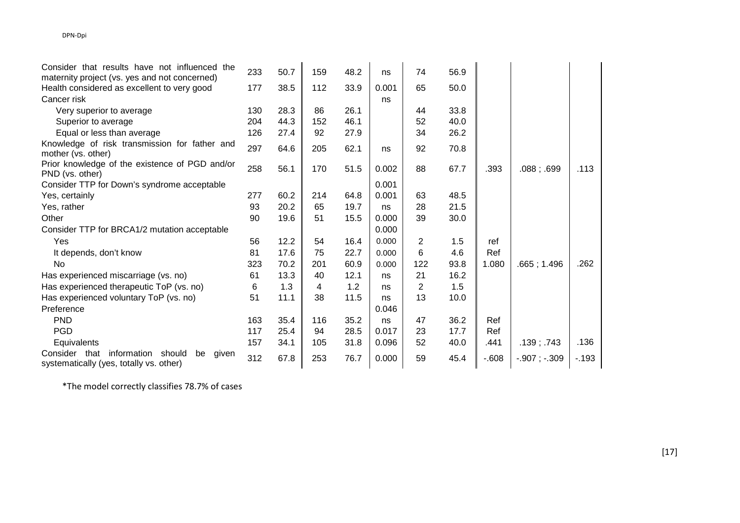| Consider that results have not influenced the                                                    | 233 | 50.7 | 159 | 48.2 | ns    | 74  | 56.9 |        |                   |        |
|--------------------------------------------------------------------------------------------------|-----|------|-----|------|-------|-----|------|--------|-------------------|--------|
| maternity project (vs. yes and not concerned)                                                    |     |      |     |      |       |     |      |        |                   |        |
| Health considered as excellent to very good                                                      | 177 | 38.5 | 112 | 33.9 | 0.001 | 65  | 50.0 |        |                   |        |
| Cancer risk                                                                                      |     |      |     |      | ns    |     |      |        |                   |        |
| Very superior to average                                                                         | 130 | 28.3 | 86  | 26.1 |       | 44  | 33.8 |        |                   |        |
| Superior to average                                                                              | 204 | 44.3 | 152 | 46.1 |       | 52  | 40.0 |        |                   |        |
| Equal or less than average                                                                       | 126 | 27.4 | 92  | 27.9 |       | 34  | 26.2 |        |                   |        |
| Knowledge of risk transmission for father and                                                    | 297 | 64.6 | 205 | 62.1 | ns    | 92  | 70.8 |        |                   |        |
| mother (vs. other)                                                                               |     |      |     |      |       |     |      |        |                   |        |
| Prior knowledge of the existence of PGD and/or<br>PND (vs. other)                                | 258 | 56.1 | 170 | 51.5 | 0.002 | 88  | 67.7 | .393   | .088; .699        | .113   |
| Consider TTP for Down's syndrome acceptable                                                      |     |      |     |      | 0.001 |     |      |        |                   |        |
| Yes, certainly                                                                                   | 277 | 60.2 | 214 | 64.8 | 0.001 | 63  | 48.5 |        |                   |        |
| Yes, rather                                                                                      | 93  | 20.2 | 65  | 19.7 | ns    | 28  | 21.5 |        |                   |        |
| Other                                                                                            | 90  | 19.6 | 51  | 15.5 | 0.000 | 39  | 30.0 |        |                   |        |
| Consider TTP for BRCA1/2 mutation acceptable                                                     |     |      |     |      | 0.000 |     |      |        |                   |        |
| Yes                                                                                              | 56  | 12.2 | 54  | 16.4 | 0.000 | 2   | 1.5  | ref    |                   |        |
| It depends, don't know                                                                           | 81  | 17.6 | 75  | 22.7 | 0.000 | 6   | 4.6  | Ref    |                   |        |
| No                                                                                               | 323 | 70.2 | 201 | 60.9 | 0.000 | 122 | 93.8 | 1.080  | .665; 1.496       | .262   |
| Has experienced miscarriage (vs. no)                                                             | 61  | 13.3 | 40  | 12.1 | ns    | 21  | 16.2 |        |                   |        |
| Has experienced therapeutic ToP (vs. no)                                                         | 6   | 1.3  | 4   | 1.2  | ns    | 2   | 1.5  |        |                   |        |
| Has experienced voluntary ToP (vs. no)                                                           | 51  | 11.1 | 38  | 11.5 | ns    | 13  | 10.0 |        |                   |        |
| Preference                                                                                       |     |      |     |      | 0.046 |     |      |        |                   |        |
| <b>PND</b>                                                                                       | 163 | 35.4 | 116 | 35.2 | ns    | 47  | 36.2 | Ref    |                   |        |
| <b>PGD</b>                                                                                       | 117 | 25.4 | 94  | 28.5 | 0.017 | 23  | 17.7 | Ref    |                   |        |
| Equivalents                                                                                      | 157 | 34.1 | 105 | 31.8 | 0.096 | 52  | 40.0 | .441   | .139; .743        | .136   |
| Consider that<br>information<br>should<br>be<br>given<br>systematically (yes, totally vs. other) | 312 | 67.8 | 253 | 76.7 | 0.000 | 59  | 45.4 | $-608$ | $-.907$ ; $-.309$ | $-193$ |

\*The model correctly classifies 78.7% of cases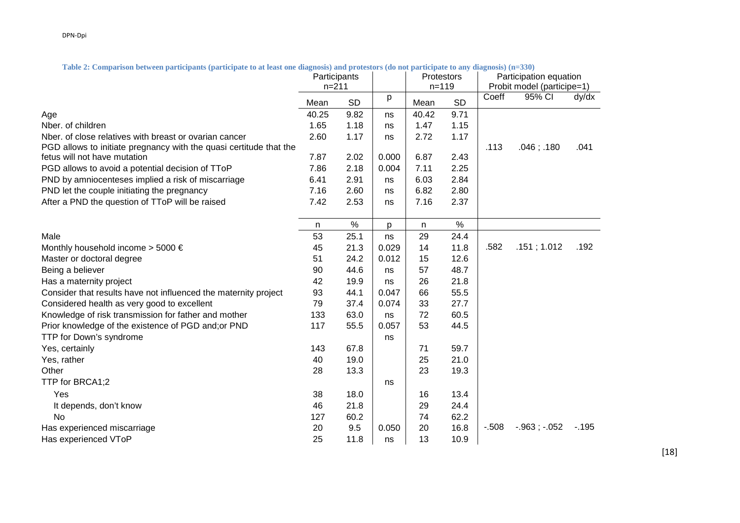Participation equation **Participants** n=211 **Protestors** n=119 Probit model (participe=1) Mean SD <sup>| p</sup> |Mean SD | <sup>Coeff</sup> 95% CI dy/dx Age 40.25 9.82 ns 40.42 9.71 Nber. of children 1.65 1.18 ns 1.47 1.15 1.17 Nber. of close relatives with breast or ovarian cancer  $\overline{2.60}$  1.17  $\overline{1}$  ns  $\overline{2.72}$ PGD allows to initiate pregnancy with the quasi certitude that the fetus will not have mutation 7.87 2.02 0.000 6.87 2.43 .113 .046 ; .180 .041 PGD allows to avoid a potential decision of TToP  $\overline{7.86}$   $\overline{2.18}$   $\overline{)0.004}$   $\overline{7.11}$   $\overline{2.25}$ PND by amniocenteses implied a risk of miscarriage 6.41 2.91 ns 6.03 2.84 2.80 PND let the couple initiating the pregnancy  $\begin{array}{ccc} 7.16 & 2.60 & \text{ns} & 6.82 \end{array}$ After a PND the question of TToP will be raised  $\begin{array}{ccc} 7.42 & 2.53 & \text{ns} & 7.16 & 2.37 \end{array}$ n % p n % Male 53 25.1 ns 29 24.4 Monthly household income > 5000 € 45  $\,$  21.3  $\,$  0.029  $\,$  14  $\,$  11.8  $\,$  1.582  $\,$  .151 ; 1.012  $\,$  .192 Master or doctoral degree 51 24.2 0.012 15 12.6 Being a believer **12.12 and 12.12 and 12.12 and 12.12 and 12.12 and 12.12 and 12.12 and 12.12 and 12.12 and 12.1** Has a maternity project  $\begin{array}{cccc} 42 & 19.9 & \text{ns} & 26 & 21.8 \\ 19.9 & \text{ns} & 26 & 21.8 \\ 19.9 & \text{ns} & 29.8 & 21.8 \\ 19.9 & \text{ns} & 21.8 & 21.8 \\ 19.9 & \text{ns} & 22.8 & 21.8 \\ 19.9 & \text{ns} & 23.8 & 21.8 \\ 19.9 & \text{ns} & 23.8 & 21.8 \\ 19.9 & \text{ns} & 24.8 & 21$ Consider that results have not influenced the maternity project  $93 \t 44.1 \t 0.047 \t 66 \t 55.5$ Considered health as very good to excellent  $\begin{array}{ccc} 79 & 37.4 & 0.074 & 33 & 27.7 \end{array}$ Knowledge of risk transmission for father and mother 133 63.0 ns 72 60.5 Prior knowledge of the existence of PGD and;or PND 117 55.5 0.057 53 44.5 TTP for Down's syndrome ns and the syndrome ns and the syndrome ns and the syndrome ns and the syndrome ns and the syndrome ns and the syndrome ns and the syndrome ns and the syndrome ns and the syndrome ns and the syndrom Yes, certainly 143 67.8 71 59.7 Yes, rather 19.0 **25 21.0** 25 21.0 **40 26 21.0** 25 21.0 Other 28 13.3 28 13.3 23 19.3 TTP for BRCA1:2 ns and the set of the set of the set of the set of the set of the set of the set of the set of the set of the set of the set of the set of the set of the set of the set of the set of the set of the set of t Yes 38 18.0 16 13.4 It depends, don't know the control of the control of the control of the control of the control of the control of the control of the control of the control of the control of the control of the control of the control of the No 127 60.2 74 62.2 Has experienced miscarriage 20 9.5 0.050 20 16.8 -.508 -.963 ; -.052 -.195 Has experienced VToP 25 11.8 ns 13 10.9

**Table 2: Comparison between participants (participate to at least one diagnosis) and protestors (do not participate to any diagnosis) (n=330)** 

[18]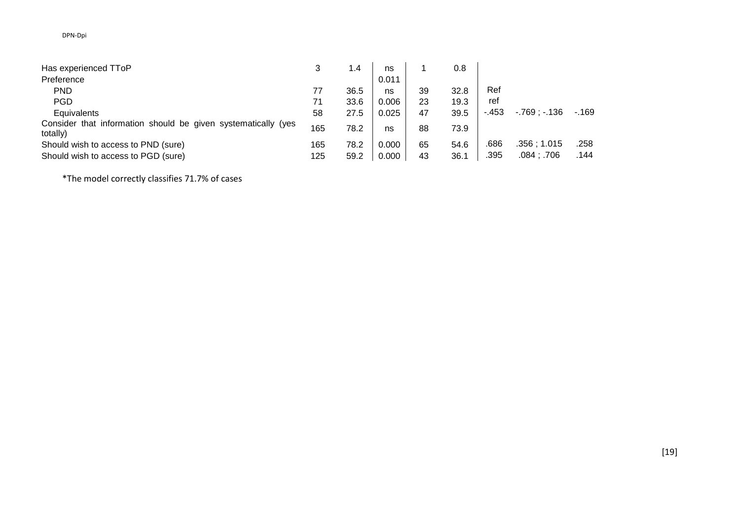| Has experienced TToP                                                      |     | 1.4  | ns    |    | 0.8  |        |               |        |
|---------------------------------------------------------------------------|-----|------|-------|----|------|--------|---------------|--------|
| Preference                                                                |     |      | 0.011 |    |      |        |               |        |
| <b>PND</b>                                                                |     | 36.5 | ns    | 39 | 32.8 | Ref    |               |        |
| <b>PGD</b>                                                                | 71  | 33.6 | 0.006 | 23 | 19.3 | ref    |               |        |
| Equivalents                                                               | 58  | 27.5 | 0.025 | 47 | 39.5 | $-453$ | $-769: -136$  | $-169$ |
| Consider that information should be given systematically (yes<br>totally) | 165 | 78.2 | ns    | 88 | 73.9 |        |               |        |
| Should wish to access to PND (sure)                                       | 165 | 78.2 | 0.000 | 65 | 54.6 | .686   | .356:1.015    | .258   |
| Should wish to access to PGD (sure)                                       | 125 | 59.2 | 0.000 | 43 | 36.1 | .395   | $.084$ ; .706 | .144   |

\*The model correctly classifies 71.7% of cases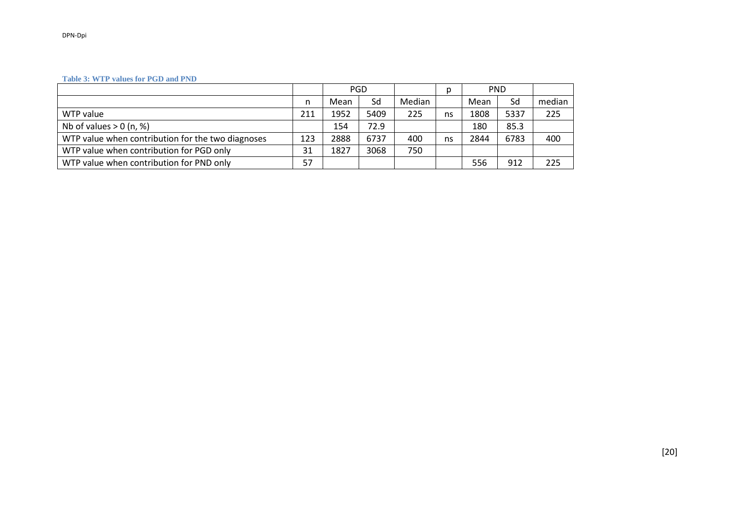#### **Table 3: WTP values for PGD and PND**

|                                                   |     | <b>PGD</b> |      |        |    | <b>PND</b><br>p |      |        |
|---------------------------------------------------|-----|------------|------|--------|----|-----------------|------|--------|
|                                                   | n   | Mean       | Sd   | Median |    | Mean            | Sd   | median |
| WTP value                                         | 211 | 1952       | 5409 | 225    | ns | 1808            | 5337 | 225    |
| Nb of values $> 0$ (n, %)                         |     | 154        | 72.9 |        |    | 180             | 85.3 |        |
| WTP value when contribution for the two diagnoses | 123 | 2888       | 6737 | 400    | ns | 2844            | 6783 | 400    |
| WTP value when contribution for PGD only          | 31  | 1827       | 3068 | 750    |    |                 |      |        |
| WTP value when contribution for PND only          | 57  |            |      |        |    | 556             | 912  | 225    |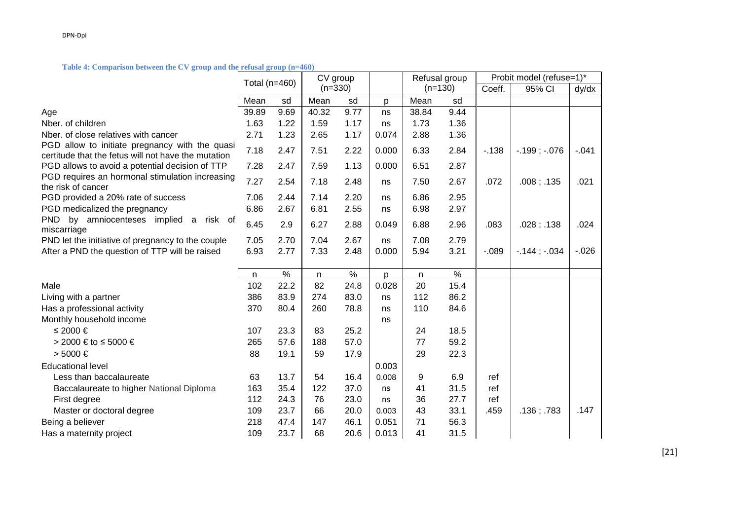#### **Table 4: Comparison between the CV group and the refusal group (n=460)**

|                                                                                                       | Total (n=460) |      | CV group  |      |       | Refusal group |      | Probit model (refuse=1)* |                   |          |
|-------------------------------------------------------------------------------------------------------|---------------|------|-----------|------|-------|---------------|------|--------------------------|-------------------|----------|
|                                                                                                       |               |      | $(n=330)$ |      |       | $(n=130)$     |      | Coeff.                   | 95% CI            | dy/dx    |
|                                                                                                       | Mean          | sd   | Mean      | sd   | p     | Mean          | sd   |                          |                   |          |
| Age                                                                                                   | 39.89         | 9.69 | 40.32     | 9.77 | ns    | 38.84         | 9.44 |                          |                   |          |
| Nber. of children                                                                                     | 1.63          | 1.22 | 1.59      | 1.17 | ns    | 1.73          | 1.36 |                          |                   |          |
| Nber. of close relatives with cancer                                                                  | 2.71          | 1.23 | 2.65      | 1.17 | 0.074 | 2.88          | 1.36 |                          |                   |          |
| PGD allow to initiate pregnancy with the quasi<br>certitude that the fetus will not have the mutation | 7.18          | 2.47 | 7.51      | 2.22 | 0.000 | 6.33          | 2.84 | $-138$                   | $-.199$ ; $-.076$ | $-.041$  |
| PGD allows to avoid a potential decision of TTP                                                       | 7.28          | 2.47 | 7.59      | 1.13 | 0.000 | 6.51          | 2.87 |                          |                   |          |
| PGD requires an hormonal stimulation increasing<br>the risk of cancer                                 | 7.27          | 2.54 | 7.18      | 2.48 | ns    | 7.50          | 2.67 | .072                     | $.008$ ; $.135$   | .021     |
| PGD provided a 20% rate of success                                                                    | 7.06          | 2.44 | 7.14      | 2.20 | ns    | 6.86          | 2.95 |                          |                   |          |
| PGD medicalized the pregnancy                                                                         | 6.86          | 2.67 | 6.81      | 2.55 | ns    | 6.98          | 2.97 |                          |                   |          |
| <b>PND</b><br>by amniocenteses implied<br>risk of<br>$\mathsf{a}$<br>miscarriage                      | 6.45          | 2.9  | 6.27      | 2.88 | 0.049 | 6.88          | 2.96 | .083                     | .028; .138        | .024     |
| PND let the initiative of pregnancy to the couple                                                     | 7.05          | 2.70 | 7.04      | 2.67 | ns    | 7.08          | 2.79 |                          |                   |          |
| After a PND the question of TTP will be raised                                                        | 6.93          | 2.77 | 7.33      | 2.48 | 0.000 | 5.94          | 3.21 | $-0.089$                 | $-144$ ; $-034$   | $-0.026$ |
|                                                                                                       |               |      |           |      |       |               |      |                          |                   |          |
|                                                                                                       | n             | $\%$ | n         | $\%$ | p     | n             | $\%$ |                          |                   |          |
| Male                                                                                                  | 102           | 22.2 | 82        | 24.8 | 0.028 | 20            | 15.4 |                          |                   |          |
| Living with a partner                                                                                 | 386           | 83.9 | 274       | 83.0 | ns    | 112           | 86.2 |                          |                   |          |
| Has a professional activity                                                                           | 370           | 80.4 | 260       | 78.8 | ns    | 110           | 84.6 |                          |                   |          |
| Monthly household income                                                                              |               |      |           |      | ns    |               |      |                          |                   |          |
| ≤ 2000 €                                                                                              | 107           | 23.3 | 83        | 25.2 |       | 24            | 18.5 |                          |                   |          |
| > 2000 € to $\leq 5000 \in$                                                                           | 265           | 57.6 | 188       | 57.0 |       | 77            | 59.2 |                          |                   |          |
| $> 5000 \in$                                                                                          | 88            | 19.1 | 59        | 17.9 |       | 29            | 22.3 |                          |                   |          |
| <b>Educational level</b>                                                                              |               |      |           |      | 0.003 |               |      |                          |                   |          |
| Less than baccalaureate                                                                               | 63            | 13.7 | 54        | 16.4 | 0.008 | 9             | 6.9  | ref                      |                   |          |
| Baccalaureate to higher National Diploma                                                              | 163           | 35.4 | 122       | 37.0 | ns    | 41            | 31.5 | ref                      |                   |          |
| First degree                                                                                          | 112           | 24.3 | 76        | 23.0 | ns    | 36            | 27.7 | ref                      |                   |          |
| Master or doctoral degree                                                                             | 109           | 23.7 | 66        | 20.0 | 0.003 | 43            | 33.1 | .459                     | .136; .783        | .147     |
| Being a believer                                                                                      | 218           | 47.4 | 147       | 46.1 | 0.051 | 71            | 56.3 |                          |                   |          |
| Has a maternity project                                                                               | 109           | 23.7 | 68        | 20.6 | 0.013 | 41            | 31.5 |                          |                   |          |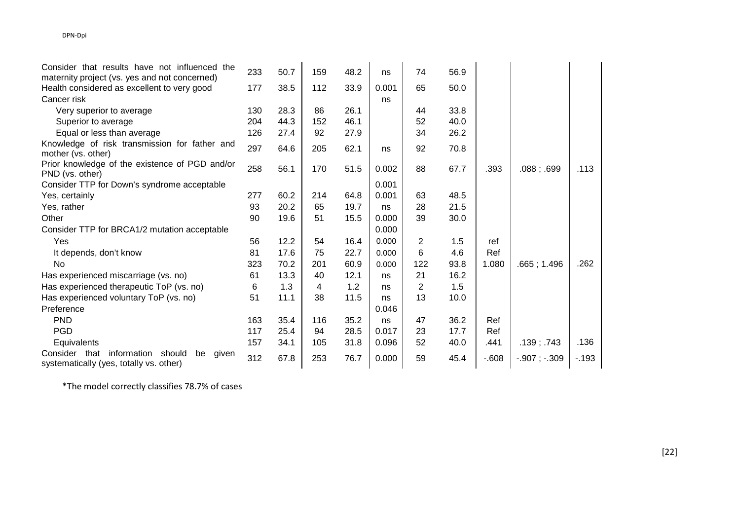| Consider that results have not influenced the                                                    | 233 | 50.7 | 159 | 48.2 | ns    | 74             | 56.9 |        |                   |        |
|--------------------------------------------------------------------------------------------------|-----|------|-----|------|-------|----------------|------|--------|-------------------|--------|
| maternity project (vs. yes and not concerned)                                                    |     |      |     |      |       |                |      |        |                   |        |
| Health considered as excellent to very good                                                      | 177 | 38.5 | 112 | 33.9 | 0.001 | 65             | 50.0 |        |                   |        |
| Cancer risk                                                                                      |     |      |     |      | ns    |                |      |        |                   |        |
| Very superior to average                                                                         | 130 | 28.3 | 86  | 26.1 |       | 44             | 33.8 |        |                   |        |
| Superior to average                                                                              | 204 | 44.3 | 152 | 46.1 |       | 52             | 40.0 |        |                   |        |
| Equal or less than average                                                                       | 126 | 27.4 | 92  | 27.9 |       | 34             | 26.2 |        |                   |        |
| Knowledge of risk transmission for father and                                                    | 297 | 64.6 | 205 | 62.1 |       | 92             | 70.8 |        |                   |        |
| mother (vs. other)                                                                               |     |      |     |      | ns    |                |      |        |                   |        |
| Prior knowledge of the existence of PGD and/or                                                   | 258 | 56.1 | 170 | 51.5 | 0.002 | 88             | 67.7 | .393   | .088; .699        | .113   |
| PND (vs. other)                                                                                  |     |      |     |      |       |                |      |        |                   |        |
| Consider TTP for Down's syndrome acceptable                                                      |     |      |     |      | 0.001 |                |      |        |                   |        |
| Yes, certainly                                                                                   | 277 | 60.2 | 214 | 64.8 | 0.001 | 63             | 48.5 |        |                   |        |
| Yes, rather                                                                                      | 93  | 20.2 | 65  | 19.7 | ns    | 28             | 21.5 |        |                   |        |
| Other                                                                                            | 90  | 19.6 | 51  | 15.5 | 0.000 | 39             | 30.0 |        |                   |        |
| Consider TTP for BRCA1/2 mutation acceptable                                                     |     |      |     |      | 0.000 |                |      |        |                   |        |
| Yes                                                                                              | 56  | 12.2 | 54  | 16.4 | 0.000 | $\overline{2}$ | 1.5  | ref    |                   |        |
| It depends, don't know                                                                           | 81  | 17.6 | 75  | 22.7 | 0.000 | 6              | 4.6  | Ref    |                   |        |
| No                                                                                               | 323 | 70.2 | 201 | 60.9 | 0.000 | 122            | 93.8 | 1.080  | .665; 1.496       | .262   |
| Has experienced miscarriage (vs. no)                                                             | 61  | 13.3 | 40  | 12.1 | ns    | 21             | 16.2 |        |                   |        |
| Has experienced therapeutic ToP (vs. no)                                                         | 6   | 1.3  | 4   | 1.2  | ns    | 2              | 1.5  |        |                   |        |
| Has experienced voluntary ToP (vs. no)                                                           | 51  | 11.1 | 38  | 11.5 | ns    | 13             | 10.0 |        |                   |        |
| Preference                                                                                       |     |      |     |      | 0.046 |                |      |        |                   |        |
| <b>PND</b>                                                                                       | 163 | 35.4 | 116 | 35.2 | ns    | 47             | 36.2 | Ref    |                   |        |
| <b>PGD</b>                                                                                       | 117 | 25.4 | 94  | 28.5 | 0.017 | 23             | 17.7 | Ref    |                   |        |
| Equivalents                                                                                      | 157 | 34.1 | 105 | 31.8 | 0.096 | 52             | 40.0 | .441   | .139: .743        | .136   |
| Consider that<br>information<br>should<br>be<br>given<br>systematically (yes, totally vs. other) | 312 | 67.8 | 253 | 76.7 | 0.000 | 59             | 45.4 | $-608$ | $-.907$ ; $-.309$ | $-193$ |

\*The model correctly classifies 78.7% of cases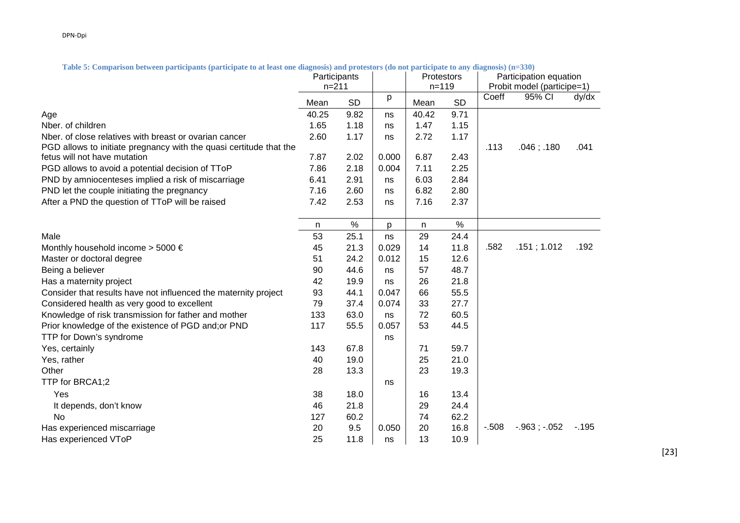Participation equation **Participants** n=211 **Protestors** n=119 Probit model (participe=1) Mean SD <sup>| p</sup> |Mean SD | <sup>Coeff</sup> 95% CI dy/dx Age 40.25 9.82 ns 40.42 9.71 Nber. of children 1.65 1.18 ns 1.47 1.15 1.17 Nber. of close relatives with breast or ovarian cancer  $\overline{2.60}$  1.17  $\overline{1}$  ns  $\overline{2.72}$ PGD allows to initiate pregnancy with the quasi certitude that the fetus will not have mutation 7.87 2.02 0.000 6.87 2.43 .113 .046 ; .180 .041 PGD allows to avoid a potential decision of TToP  $\overline{7.86}$   $\overline{2.18}$   $\overline{)0.004}$   $\overline{7.11}$   $\overline{2.25}$ PND by amniocenteses implied a risk of miscarriage 6.41 2.91 ns 6.03 2.84 2.80 PND let the couple initiating the pregnancy  $\begin{array}{ccc} 7.16 & 2.60 & \text{ns} & 6.82 \end{array}$ After a PND the question of TToP will be raised  $\begin{array}{ccc} 7.42 & 2.53 & \text{ns} & 7.16 & 2.37 \end{array}$ n % p n % Male 53 25.1 ns 29 24.4 Monthly household income > 5000 € 45  $\,$  21.3  $\,$  0.029  $\,$  14  $\,$  11.8  $\,$  1.582  $\,$  .151 ; 1.012  $\,$  .192 Master or doctoral degree 51 24.2 0.012 15 12.6 Being a believer **12.12 and 12.12 and 12.12 and 12.12 and 12.12 and 12.12 and 12.12 and 12.12 and 12.12 and 12.1** Has a maternity project  $\begin{array}{cccc} 42 & 19.9 & \text{ns} & 26 & 21.8 \\ 19.9 & \text{ns} & 26 & 21.8 \\ 19.9 & \text{ns} & 29.8 & 21.8 \\ 19.9 & \text{ns} & 21.8 & 21.8 \\ 19.9 & \text{ns} & 22.8 & 21.8 \\ 19.9 & \text{ns} & 23.8 & 21.8 \\ 19.9 & \text{ns} & 23.8 & 21.8 \\ 19.9 & \text{ns} & 24.8 & 21$ Consider that results have not influenced the maternity project  $93 \t 44.1 \t 0.047 \t 66 \t 55.5$ Considered health as very good to excellent  $\begin{array}{ccc} 79 & 37.4 & 0.074 & 33 & 27.7 \end{array}$ Knowledge of risk transmission for father and mother 133 63.0 ns 72 60.5 Prior knowledge of the existence of PGD and;or PND 117 55.5 0.057 53 44.5 TTP for Down's syndrome ns and the syndrome ns and the syndrome ns and the syndrome ns and the syndrome ns and the syndrome ns and the syndrome ns and the syndrome ns and the syndrome ns and the syndrome ns and the syndrom Yes, certainly 143 67.8 71 59.7 Yes, rather 19.0 **25 21.0** 25 21.0 **40 26 21.0** 25 21.0 Other 28 13.3 28 13.3 23 19.3 TTP for BRCA1:2 ns and the set of the set of the set of the set of the set of the set of the set of the set of the set of the set of the set of the set of the set of the set of the set of the set of the set of the set of t Yes 38 18.0 16 13.4 It depends, don't know the control of the control of the control of the control of the control of the control of the control of the control of the control of the control of the control of the control of the control of the No 127 60.2 74 62.2 Has experienced miscarriage 20 9.5 0.050 20 16.8 -.508 -.963 ; -.052 -.195 Has experienced VToP 25 11.8 ns 13 10.9

**Table 5: Comparison between participants (participate to at least one diagnosis) and protestors (do not participate to any diagnosis) (n=330)**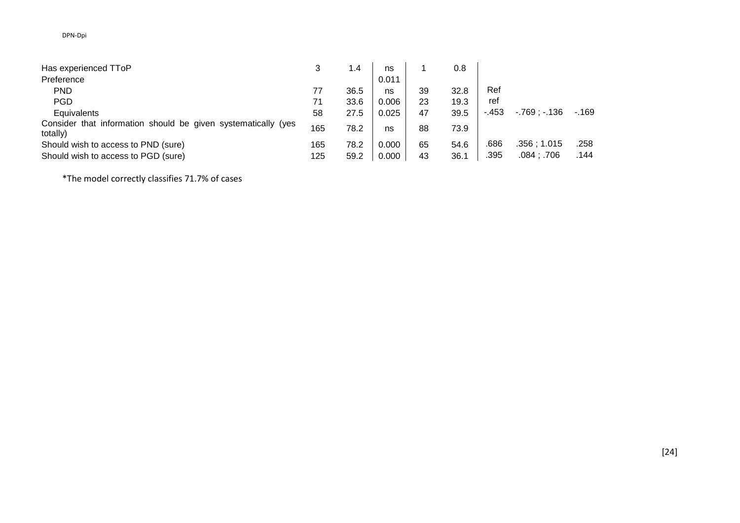| Has experienced TToP                                                      |     | 1.4  | ns    |    | 0.8  |        |               |        |
|---------------------------------------------------------------------------|-----|------|-------|----|------|--------|---------------|--------|
| Preference                                                                |     |      | 0.011 |    |      |        |               |        |
| <b>PND</b>                                                                |     | 36.5 | ns    | 39 | 32.8 | Ref    |               |        |
| <b>PGD</b>                                                                | 71  | 33.6 | 0.006 | 23 | 19.3 | ref    |               |        |
| Equivalents                                                               | 58  | 27.5 | 0.025 | 47 | 39.5 | $-453$ | $-769: -136$  | $-169$ |
| Consider that information should be given systematically (yes<br>totally) | 165 | 78.2 | ns    | 88 | 73.9 |        |               |        |
| Should wish to access to PND (sure)                                       | 165 | 78.2 | 0.000 | 65 | 54.6 | .686   | .356:1.015    | .258   |
| Should wish to access to PGD (sure)                                       | 125 | 59.2 | 0.000 | 43 | 36.1 | .395   | $.084$ ; .706 | .144   |

\*The model correctly classifies 71.7% of cases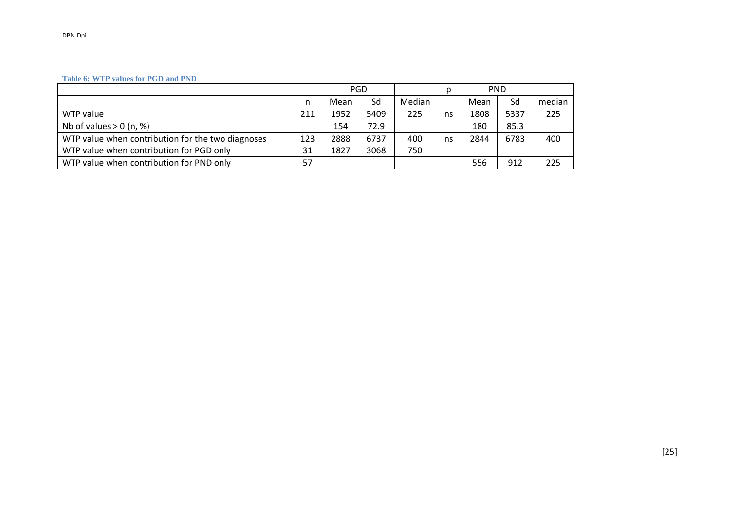#### **Table 6: WTP values for PGD and PND**

|                                                   |     | <b>PGD</b> |      | <b>PND</b><br>D |    |      |      |        |
|---------------------------------------------------|-----|------------|------|-----------------|----|------|------|--------|
|                                                   | n   | Mean       | Sd   | Median          |    | Mean | Sd   | median |
| WTP value                                         | 211 | 1952       | 5409 | 225             | ns | 1808 | 5337 | 225    |
| Nb of values $> 0$ (n, %)                         |     | 154        | 72.9 |                 |    | 180  | 85.3 |        |
| WTP value when contribution for the two diagnoses | 123 | 2888       | 6737 | 400             | ns | 2844 | 6783 | 400    |
| WTP value when contribution for PGD only          | 31  | 1827       | 3068 | 750             |    |      |      |        |
| WTP value when contribution for PND only          | 57  |            |      |                 |    | 556  | 912  | 225    |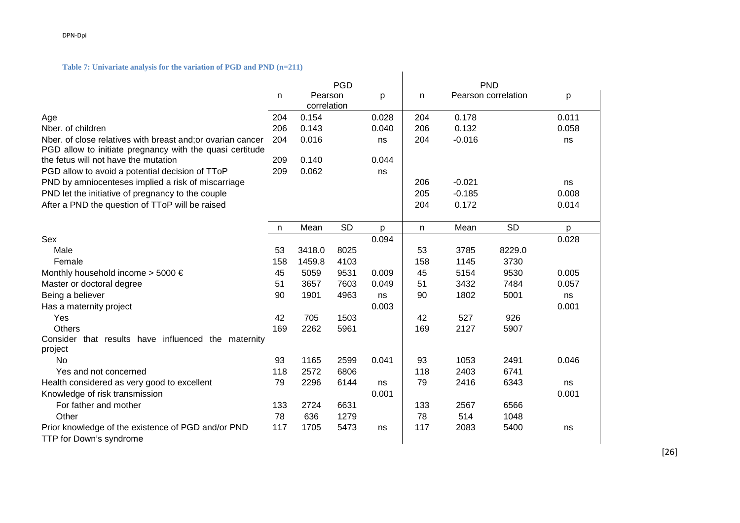#### **Table 7: Univariate analysis for the variation of PGD and PND (n=211)**

| $\mathbf{C}$ the definition of the equation of $\mathbf{C}$ or any $\mathbf{C}$ is $\mathbf{C}$ |            |             |           |       |            |          |                     |       |  |
|-------------------------------------------------------------------------------------------------|------------|-------------|-----------|-------|------------|----------|---------------------|-------|--|
|                                                                                                 | <b>PGD</b> |             |           |       | <b>PND</b> |          |                     |       |  |
|                                                                                                 | n          | Pearson     |           | p     | n          |          | Pearson correlation | p     |  |
|                                                                                                 |            | correlation |           |       |            |          |                     |       |  |
| Age                                                                                             | 204        | 0.154       |           | 0.028 | 204        | 0.178    |                     | 0.011 |  |
| Nber. of children                                                                               | 206        | 0.143       |           | 0.040 | 206        | 0.132    |                     | 0.058 |  |
| Nber. of close relatives with breast and; or ovarian cancer                                     | 204        | 0.016       |           | ns    | 204        | $-0.016$ |                     | ns    |  |
| PGD allow to initiate pregnancy with the quasi certitude                                        |            |             |           |       |            |          |                     |       |  |
| the fetus will not have the mutation                                                            | 209        | 0.140       |           | 0.044 |            |          |                     |       |  |
| PGD allow to avoid a potential decision of TToP                                                 | 209        | 0.062       |           | ns    |            |          |                     |       |  |
| PND by amniocenteses implied a risk of miscarriage                                              |            |             |           |       | 206        | $-0.021$ |                     | ns    |  |
| PND let the initiative of pregnancy to the couple                                               |            |             |           |       | 205        | $-0.185$ |                     | 0.008 |  |
| After a PND the question of TToP will be raised                                                 |            |             |           |       | 204        | 0.172    |                     | 0.014 |  |
|                                                                                                 |            |             |           |       |            |          |                     |       |  |
|                                                                                                 | n          | Mean        | <b>SD</b> | p     | n          | Mean     | <b>SD</b>           | p     |  |
| Sex                                                                                             |            |             |           | 0.094 |            |          |                     | 0.028 |  |
| Male                                                                                            | 53         | 3418.0      | 8025      |       | 53         | 3785     | 8229.0              |       |  |
| Female                                                                                          | 158        | 1459.8      | 4103      |       | 158        | 1145     | 3730                |       |  |
| Monthly household income > 5000 €                                                               | 45         | 5059        | 9531      | 0.009 | 45         | 5154     | 9530                | 0.005 |  |
| Master or doctoral degree                                                                       | 51         | 3657        | 7603      | 0.049 | 51         | 3432     | 7484                | 0.057 |  |
| Being a believer                                                                                | 90         | 1901        | 4963      | ns    | 90         | 1802     | 5001                | ns    |  |
| Has a maternity project                                                                         |            |             |           | 0.003 |            |          |                     | 0.001 |  |
| Yes                                                                                             | 42         | 705         | 1503      |       | 42         | 527      | 926                 |       |  |
| <b>Others</b>                                                                                   | 169        | 2262        | 5961      |       | 169        | 2127     | 5907                |       |  |
| Consider that results have influenced the maternity                                             |            |             |           |       |            |          |                     |       |  |
| project                                                                                         |            |             |           |       |            |          |                     |       |  |
| <b>No</b>                                                                                       | 93         | 1165        | 2599      | 0.041 | 93         | 1053     | 2491                | 0.046 |  |
| Yes and not concerned                                                                           | 118        | 2572        | 6806      |       | 118        | 2403     | 6741                |       |  |
| Health considered as very good to excellent                                                     | 79         | 2296        | 6144      | ns    | 79         | 2416     | 6343                | ns    |  |
| Knowledge of risk transmission                                                                  |            |             |           | 0.001 |            |          |                     | 0.001 |  |
| For father and mother                                                                           | 133        | 2724        | 6631      |       | 133        | 2567     | 6566                |       |  |
| Other                                                                                           | 78         | 636         | 1279      |       | 78         | 514      | 1048                |       |  |
| Prior knowledge of the existence of PGD and/or PND<br>TTP for Down's syndrome                   | 117        | 1705        | 5473      | ns    | 117        | 2083     | 5400                | ns    |  |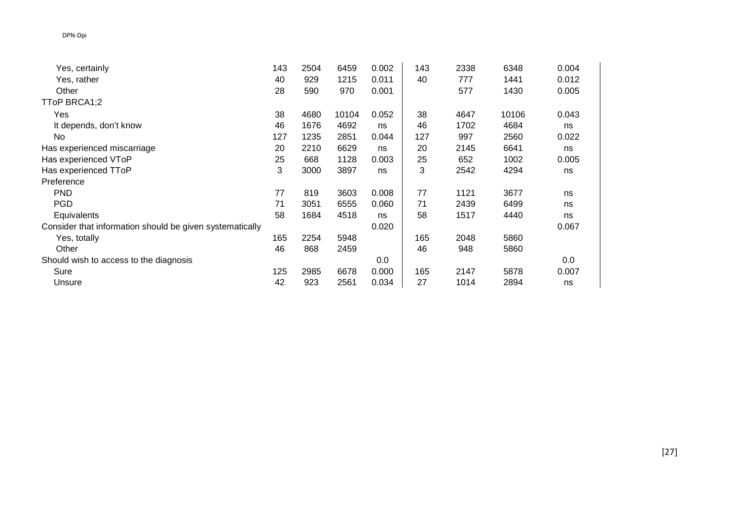| Yes, certainly                                           | 143 | 2504 | 6459  | 0.002 | 143 | 2338 | 6348  | 0.004 |
|----------------------------------------------------------|-----|------|-------|-------|-----|------|-------|-------|
| Yes, rather                                              | 40  | 929  | 1215  | 0.011 | 40  | 777  | 1441  | 0.012 |
| Other                                                    | 28  | 590  | 970   | 0.001 |     | 577  | 1430  | 0.005 |
| TToP BRCA1;2                                             |     |      |       |       |     |      |       |       |
| Yes                                                      | 38  | 4680 | 10104 | 0.052 | 38  | 4647 | 10106 | 0.043 |
| It depends, don't know                                   | 46  | 1676 | 4692  | ns    | 46  | 1702 | 4684  | ns    |
| No                                                       | 127 | 1235 | 2851  | 0.044 | 127 | 997  | 2560  | 0.022 |
| Has experienced miscarriage                              | 20  | 2210 | 6629  | ns    | 20  | 2145 | 6641  | ns    |
| Has experienced VToP                                     | 25  | 668  | 1128  | 0.003 | 25  | 652  | 1002  | 0.005 |
| Has experienced TToP                                     | 3   | 3000 | 3897  | ns    | 3   | 2542 | 4294  | ns    |
| Preference                                               |     |      |       |       |     |      |       |       |
| <b>PND</b>                                               | 77  | 819  | 3603  | 0.008 | 77  | 1121 | 3677  | ns    |
| <b>PGD</b>                                               | 71  | 3051 | 6555  | 0.060 | 71  | 2439 | 6499  | ns    |
| Equivalents                                              | 58  | 1684 | 4518  | ns    | 58  | 1517 | 4440  | ns    |
| Consider that information should be given systematically |     |      |       | 0.020 |     |      |       | 0.067 |
| Yes, totally                                             | 165 | 2254 | 5948  |       | 165 | 2048 | 5860  |       |
| Other                                                    | 46  | 868  | 2459  |       | 46  | 948  | 5860  |       |
| Should wish to access to the diagnosis                   |     |      |       | 0.0   |     |      |       | 0.0   |
| Sure                                                     | 125 | 2985 | 6678  | 0.000 | 165 | 2147 | 5878  | 0.007 |
| Unsure                                                   | 42  | 923  | 2561  | 0.034 | 27  | 1014 | 2894  | ns    |